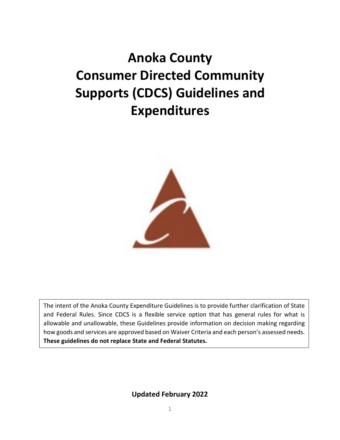# **Anoka County Consumer Directed Community Supports (CDCS) Guidelines and Expenditures**



The intent of the Anoka County Expenditure Guidelines is to provide further clarification of State and Federal Rules. Since CDCS is a flexible service option that has general rules for what is allowable and unallowable, these Guidelines provide information on decision making regarding how goods and services are approved based on Waiver Criteria and each person's assessed needs. **These guidelines do not replace State and Federal Statutes.** 

**Updated February 2022**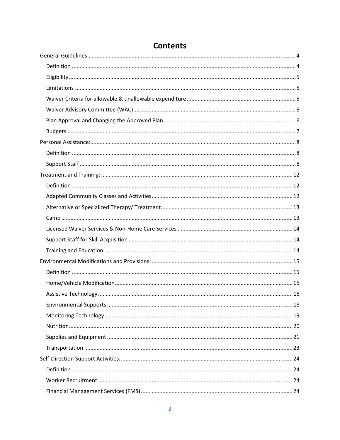#### **Contents**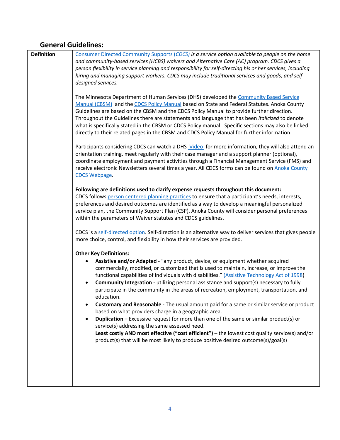#### <span id="page-3-0"></span>**General Guidelines:**

<span id="page-3-1"></span>

0B**Definition** [Consumer Directed Community Supports \(](https://www.dhs.state.mn.us/main/idcplg?IdcService=GET_DYNAMIC_CONVERSION&RevisionSelectionMethod=LatestReleased&dDocName=id_048211)*CDCS) is a service option available to people on the home and community-based services (HCBS) waivers and Alternative Care (AC) program. CDCS gives a person flexibility in service planning and responsibility for self-directing his or her services, including hiring and managing support workers. CDCS may include traditional services and goods, and selfdesigned services.*

The Minnesota Department of Human Services (DHS) developed th[e Community Based Service](https://www.dhs.state.mn.us/main/idcplg?IdcService=GET_DYNAMIC_CONVERSION&RevisionSelectionMethod=LatestReleased&dDocName=id_000402)  [Manual \(CBSM\)](https://www.dhs.state.mn.us/main/idcplg?IdcService=GET_DYNAMIC_CONVERSION&RevisionSelectionMethod=LatestReleased&dDocName=id_000402) and the [CDCS Policy Manual](https://www.dhs.state.mn.us/main/idcplg?IdcService=GET_DYNAMIC_CONVERSION&RevisionSelectionMethod=LatestReleased&dDocName=CDCS_HOME) based on State and Federal Statutes. Anoka County Guidelines are based on the CBSM and the CDCS Policy Manual to provide further direction. Throughout the Guidelines there are statements and language that has been *italicized* to denote what is specifically stated in the CBSM or CDCS Policy manual. Specific sections may also be linked directly to their related pages in the CBSM and CDCS Policy Manual for further information.

Participants considering CDCS can watch a DH[S Video](http://pathlore.dhs.mn.gov/courseware/DisabilityServices/3-DirectAccess/CDCS/multiscreen.html) for more information, they will also attend an orientation training, meet regularly with their case manager and a support planner (optional), coordinate employment and payment activities through a Financial Management Service (FMS) and receive electronic Newsletters several times a year. All CDCS forms can be found o[n Anoka County](https://www.anokacounty.us/3311/CDCS-Forms-Guides) [CDCS Webpage.](https://www.anokacounty.us/3311/CDCS-Forms-Guides)

**Following are definitions used to clarify expense requests throughout this document:** CDCS follows [person centered planning practices](https://mn.gov/dhs/people-we-serve/people-with-disabilities/services/home-community/programs-and-services/cdcs-person-centered-planning.jsp) to ensure that a participant's needs, interests, preferences and desired outcomes are identified as a way to develop a meaningful personalized service plan, the Community Support Plan (CSP). Anoka County will consider personal preferences within the parameters of Waiver statutes and CDCS guidelines.

CDCS is a [self-directed](https://mn.gov/dhs/people-we-serve/people-with-disabilities/services/home-community/programs-and-services/cdcs.jsp) option. Self-direction is an alternative way to deliver services that gives people more choice, control, and flexibility in how their services are provided.

**Other Key Definitions:**

- **Assistive and/or Adapted** "any product, device, or equipment whether acquired commercially, modified, or customized that is used to maintain, increase, or improve the functional capabilities of individuals with disabilities.[" \(Assistive Technology Act of 1998\)](https://www.congress.gov/bill/105th-congress/senate-bill/2432)
- **Community Integration** utilizing personal assistance and support(s) necessary to fully participate in the community in the areas of recreation, employment, transportation, and education.
- **Customary and Reasonable**  The usual amount paid for a same or similar service or product based on what providers charge in a geographic area.
- **Duplication** Excessive request for more than one of the same or similar product(s) or service(s) addressing the same assessed need. **Least costly AND most effective ("cost efficient")** – the lowest cost quality service(s) and/or product(s) that will be most likely to produce positive desired outcome(s)/goal(s)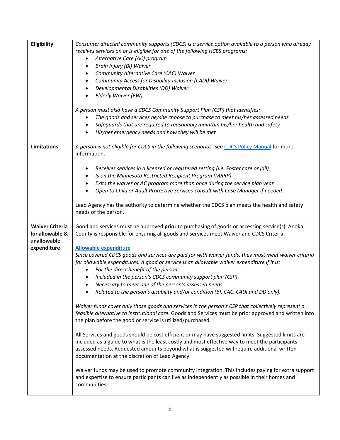<span id="page-4-2"></span><span id="page-4-1"></span><span id="page-4-0"></span>

| Eligibility                                                             | Consumer directed community supports (CDCS) is a service option available to a person who already<br>receives services on or is eligible for one of the following HCBS programs:<br>Alternative Care (AC) program<br>$\bullet$<br>Brain Injury (BI) Waiver<br>٠<br>Community Alternative Care (CAC) Waiver<br>٠<br>Community Access for Disability Inclusion (CADI) Waiver<br>$\bullet$<br>Developmental Disabilities (DD) Waiver<br>Elderly Waiver (EW)<br>A person must also have a CDCS Community Support Plan (CSP) that identifies:<br>The goods and services he/she choose to purchase to meet his/her assessed needs<br>Safeguards that are required to reasonably maintain his/her health and safety<br>$\bullet$<br>His/her emergency needs and how they will be met<br>$\bullet$                                                                                                                                                                                                                                                                                                                                                                                                                                                                                                                                                                                                                                                                                                                                                                                 |
|-------------------------------------------------------------------------|----------------------------------------------------------------------------------------------------------------------------------------------------------------------------------------------------------------------------------------------------------------------------------------------------------------------------------------------------------------------------------------------------------------------------------------------------------------------------------------------------------------------------------------------------------------------------------------------------------------------------------------------------------------------------------------------------------------------------------------------------------------------------------------------------------------------------------------------------------------------------------------------------------------------------------------------------------------------------------------------------------------------------------------------------------------------------------------------------------------------------------------------------------------------------------------------------------------------------------------------------------------------------------------------------------------------------------------------------------------------------------------------------------------------------------------------------------------------------------------------------------------------------------------------------------------------------|
| Limitations                                                             | A person is not eligible for CDCS in the following scenarios. See CDCS Policy Manual for more<br>information.<br>Receives services in a licensed or registered setting (i.e. Foster care or jail)<br>$\bullet$<br>Is on the Minnesota Restricted Recipient Program (MRRP)<br>$\bullet$<br>Exits the waiver or AC program more than once during the service plan year<br>Open to Child or Adult Protective Services-consult with Case Manager if needed.<br>Lead Agency has the authority to determine whether the CDCS plan meets the health and safety<br>needs of the person.                                                                                                                                                                                                                                                                                                                                                                                                                                                                                                                                                                                                                                                                                                                                                                                                                                                                                                                                                                                            |
| <b>Waiver Criteria</b><br>for allowable &<br>unallowable<br>expenditure | Good and services must be approved prior to purchasing of goods or accessing service(s). Anoka<br>County is responsible for ensuring all goods and services meet Waiver and CDCS Criteria.<br><b>Allowable expenditure</b><br>Since covered CDCS goods and services are paid for with waiver funds, they must meet waiver criteria<br>for allowable expenditures. A good or service is an allowable waiver expenditure if it is:<br>For the direct benefit of the person<br>Included in the person's CDCS community support plan (CSP)<br>$\bullet$<br>Necessary to meet one of the person's assessed needs<br>$\bullet$<br>Related to the person's disability and/or condition (BI, CAC, CADI and DD only).<br>Waiver funds cover only those goods and services in the person's CSP that collectively represent a<br>feasible alternative to institutional care. Goods and Services must be prior approved and written into<br>the plan before the good or service is utilized/purchased.<br>All Services and goods should be cost efficient or may have suggested limits. Suggested limits are<br>included as a guide to what is the least costly and most effective way to meet the participants<br>assessed needs. Requested amounts beyond what is suggested will require additional written<br>documentation at the discretion of Lead Agency.<br>Waiver funds may be used to promote community integration. This includes paying for extra support<br>and expertise to ensure participants can live as independently as possible in their homes and<br>communities. |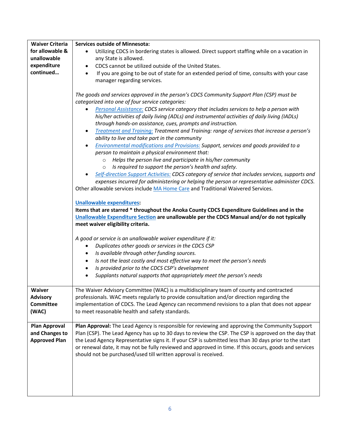<span id="page-5-1"></span><span id="page-5-0"></span>

| <b>Waiver Criteria</b> | <b>Services outside of Minnesota:</b>                                                                    |
|------------------------|----------------------------------------------------------------------------------------------------------|
| for allowable &        | Utilizing CDCS in bordering states is allowed. Direct support staffing while on a vacation in            |
| unallowable            | any State is allowed.                                                                                    |
| expenditure            | CDCS cannot be utilized outside of the United States.<br>$\bullet$                                       |
| continued              | If you are going to be out of state for an extended period of time, consults with your case<br>$\bullet$ |
|                        | manager regarding services.                                                                              |
|                        |                                                                                                          |
|                        | The goods and services approved in the person's CDCS Community Support Plan (CSP) must be                |
|                        | categorized into one of four service categories:                                                         |
|                        | Personal Assistance: CDCS service category that includes services to help a person with                  |
|                        | his/her activities of daily living (ADLs) and instrumental activities of daily living (IADLs)            |
|                        | through hands-on assistance, cues, prompts and instruction.                                              |
|                        |                                                                                                          |
|                        | Treatment and Training: Treatment and Training: range of services that increase a person's<br>$\bullet$  |
|                        | ability to live and take part in the community                                                           |
|                        | Environmental modifications and Provisions: Support, services and goods provided to a                    |
|                        | person to maintain a physical environment that:                                                          |
|                        | Helps the person live and participate in his/her community<br>$\circ$                                    |
|                        | Is required to support the person's health and safety.<br>$\circ$                                        |
|                        | Self-direction Support Activities: CDCS category of service that includes services, supports and         |
|                        | expenses incurred for administering or helping the person or representative administer CDCS.             |
|                        | Other allowable services include MA Home Care and Traditional Waivered Services.                         |
|                        |                                                                                                          |
|                        | <b>Unallowable expenditures:</b>                                                                         |
|                        | Items that are starred * throughout the Anoka County CDCS Expenditure Guidelines and in the              |
|                        | Unallowable Expenditure Section are unallowable per the CDCS Manual and/or do not typically              |
|                        | meet waiver eligibility criteria.                                                                        |
|                        |                                                                                                          |
|                        | A good or service is an unallowable waiver expenditure if it:                                            |
|                        | Duplicates other goods or services in the CDCS CSP<br>٠                                                  |
|                        | Is available through other funding sources.<br>٠                                                         |
|                        | Is not the least costly and most effective way to meet the person's needs<br>$\bullet$                   |
|                        | Is provided prior to the CDCS CSP's development<br>$\bullet$                                             |
|                        | Supplants natural supports that appropriately meet the person's needs                                    |
|                        |                                                                                                          |
| Waiver                 | The Waiver Advisory Committee (WAC) is a multidisciplinary team of county and contracted                 |
| <b>Advisory</b>        | professionals. WAC meets regularly to provide consultation and/or direction regarding the                |
| <b>Committee</b>       | implementation of CDCS. The Lead Agency can recommend revisions to a plan that does not appear           |
| (WAC)                  | to meet reasonable health and safety standards.                                                          |
|                        |                                                                                                          |
| Plan Approval          | Plan Approval: The Lead Agency is responsible for reviewing and approving the Community Support          |
| and Changes to         | Plan (CSP). The Lead Agency has up to 30 days to review the CSP. The CSP is approved on the day that     |
| <b>Approved Plan</b>   | the Lead Agency Representative signs it. If your CSP is submitted less than 30 days prior to the start   |
|                        |                                                                                                          |
|                        | or renewal date, it may not be fully reviewed and approved in time. If this occurs, goods and services   |
|                        | should not be purchased/used till written approval is received.                                          |
|                        |                                                                                                          |
|                        |                                                                                                          |
|                        |                                                                                                          |
|                        |                                                                                                          |
|                        |                                                                                                          |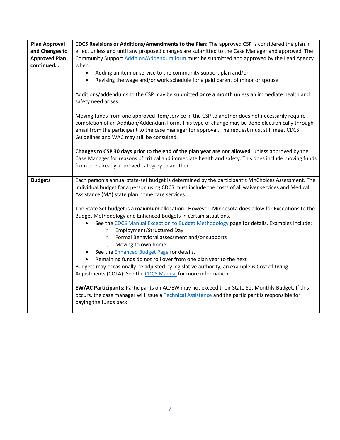<span id="page-6-0"></span>

| Plan Approval        | CDCS Revisions or Additions/Amendments to the Plan: The approved CSP is considered the plan in                                                                                                           |
|----------------------|----------------------------------------------------------------------------------------------------------------------------------------------------------------------------------------------------------|
| and Changes to       | effect unless and until any proposed changes are submitted to the Case Manager and approved. The                                                                                                         |
| <b>Approved Plan</b> | Community Support Addition/Addendum form must be submitted and approved by the Lead Agency                                                                                                               |
| continued            | when:                                                                                                                                                                                                    |
|                      | Adding an item or service to the community support plan and/or                                                                                                                                           |
|                      | Revising the wage and/or work schedule for a paid parent of minor or spouse<br>$\bullet$                                                                                                                 |
|                      |                                                                                                                                                                                                          |
|                      | Additions/addendums to the CSP may be submitted once a month unless an immediate health and                                                                                                              |
|                      | safety need arises.                                                                                                                                                                                      |
|                      |                                                                                                                                                                                                          |
|                      | Moving funds from one approved item/service in the CSP to another does not necessarily require                                                                                                           |
|                      | completion of an Addition/Addendum Form. This type of change may be done electronically through                                                                                                          |
|                      | email from the participant to the case manager for approval. The request must still meet CDCS                                                                                                            |
|                      | Guidelines and WAC may still be consulted.                                                                                                                                                               |
|                      |                                                                                                                                                                                                          |
|                      | Changes to CSP 30 days prior to the end of the plan year are not allowed, unless approved by the<br>Case Manager for reasons of critical and immediate health and safety. This does include moving funds |
|                      | from one already approved category to another.                                                                                                                                                           |
|                      |                                                                                                                                                                                                          |
| <b>Budgets</b>       | Each person's annual state-set budget is determined by the participant's MnChoices Assessment. The                                                                                                       |
|                      | individual budget for a person using CDCS must include the costs of all waiver services and Medical                                                                                                      |
|                      | Assistance (MA) state plan home care services.                                                                                                                                                           |
|                      |                                                                                                                                                                                                          |
|                      | The State Set budget is a maximum allocation. However, Minnesota does allow for Exceptions to the                                                                                                        |
|                      | Budget Methodology and Enhanced Budgets in certain situations.                                                                                                                                           |
|                      | See the CDCS Manual Exception to Budget Methodology page for details. Examples include:                                                                                                                  |
|                      | o Employment/Structured Day                                                                                                                                                                              |
|                      | Formal Behavioral assessment and/or supports<br>$\circ$                                                                                                                                                  |
|                      | Moving to own home<br>$\circ$                                                                                                                                                                            |
|                      | See the <b>Enhanced Budget Page</b> for details.<br>$\bullet$                                                                                                                                            |
|                      | Remaining funds do not roll over from one plan year to the next<br>$\bullet$                                                                                                                             |
|                      | Budgets may occasionally be adjusted by legislative authority; an example is Cost of Living                                                                                                              |
|                      | Adjustments (COLA). See the CDCS Manual for more information.                                                                                                                                            |
|                      | EW/AC Participants: Participants on AC/EW may not exceed their State Set Monthly Budget. If this                                                                                                         |
|                      | occurs, the case manager will issue a Technical Assistance and the participant is responsible for                                                                                                        |
|                      | paying the funds back.                                                                                                                                                                                   |
|                      |                                                                                                                                                                                                          |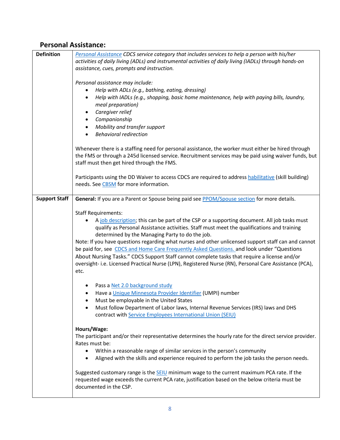#### <span id="page-7-0"></span>**Personal Assistance:**

<span id="page-7-2"></span><span id="page-7-1"></span>

| Definition           | Personal Assistance CDCS service category that includes services to help a person with his/her<br>activities of daily living (ADLs) and instrumental activities of daily living (IADLs) through hands-on                                                                                                                                                                                                                                                                                                                                                                                                                                                                                                      |
|----------------------|---------------------------------------------------------------------------------------------------------------------------------------------------------------------------------------------------------------------------------------------------------------------------------------------------------------------------------------------------------------------------------------------------------------------------------------------------------------------------------------------------------------------------------------------------------------------------------------------------------------------------------------------------------------------------------------------------------------|
|                      | assistance, cues, prompts and instruction.                                                                                                                                                                                                                                                                                                                                                                                                                                                                                                                                                                                                                                                                    |
|                      | Personal assistance may include:<br>Help with ADLs (e.g., bathing, eating, dressing)<br>$\bullet$<br>Help with IADLs (e.g., shopping, basic home maintenance, help with paying bills, laundry,<br>$\bullet$<br>meal preparation)<br>Caregiver relief<br>Companionship<br>Mobility and transfer support<br><b>Behavioral redirection</b><br>$\bullet$                                                                                                                                                                                                                                                                                                                                                          |
|                      | Whenever there is a staffing need for personal assistance, the worker must either be hired through<br>the FMS or through a 245d licensed service. Recruitment services may be paid using waiver funds, but<br>staff must then get hired through the FMS.                                                                                                                                                                                                                                                                                                                                                                                                                                                      |
|                      | Participants using the DD Waiver to access CDCS are required to address habilitative (skill building)<br>needs. See CBSM for more information.                                                                                                                                                                                                                                                                                                                                                                                                                                                                                                                                                                |
| <b>Support Staff</b> | General: If you are a Parent or Spouse being paid see PPOM/Spouse section for more details.                                                                                                                                                                                                                                                                                                                                                                                                                                                                                                                                                                                                                   |
|                      | <b>Staff Requirements:</b><br>A job description; this can be part of the CSP or a supporting document. All job tasks must<br>$\bullet$<br>qualify as Personal Assistance activities. Staff must meet the qualifications and training<br>determined by the Managing Party to do the job.<br>Note: If you have questions regarding what nurses and other unlicensed support staff can and cannot<br>be paid for, see CDCS and Home Care Frequently Asked Questions. and look under "Questions<br>About Nursing Tasks." CDCS Support Staff cannot complete tasks that require a license and/or<br>oversight- i.e. Licensed Practical Nurse (LPN), Registered Nurse (RN), Personal Care Assistance (PCA),<br>etc. |
|                      | Pass a Net 2.0 background study<br>Have a Unique Minnesota Provider Identifier (UMPI) number<br>Must be employable in the United States<br>Must follow Department of Labor laws, Internal Revenue Services (IRS) laws and DHS<br>contract with Service Employees International Union (SEIU)                                                                                                                                                                                                                                                                                                                                                                                                                   |
|                      | Hours/Wage:<br>The participant and/or their representative determines the hourly rate for the direct service provider.<br>Rates must be:<br>Within a reasonable range of similar services in the person's community<br>$\bullet$<br>Aligned with the skills and experience required to perform the job tasks the person needs.<br>$\bullet$                                                                                                                                                                                                                                                                                                                                                                   |
|                      | Suggested customary range is the <b>SEIU</b> minimum wage to the current maximum PCA rate. If the<br>requested wage exceeds the current PCA rate, justification based on the below criteria must be<br>documented in the CSP.                                                                                                                                                                                                                                                                                                                                                                                                                                                                                 |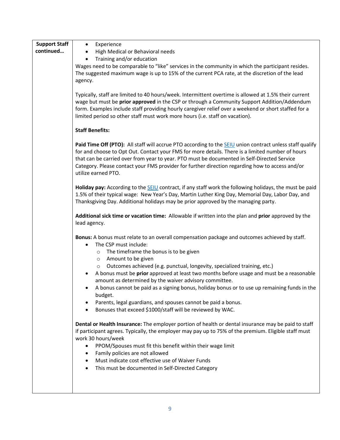| <b>Support Staff</b> | Experience<br>$\bullet$                                                                                                                                                                                                                                                                                                                                                                                                                      |
|----------------------|----------------------------------------------------------------------------------------------------------------------------------------------------------------------------------------------------------------------------------------------------------------------------------------------------------------------------------------------------------------------------------------------------------------------------------------------|
| continued            | High Medical or Behavioral needs<br>$\bullet$                                                                                                                                                                                                                                                                                                                                                                                                |
|                      | Training and/or education<br>$\bullet$                                                                                                                                                                                                                                                                                                                                                                                                       |
|                      | Wages need to be comparable to "like" services in the community in which the participant resides.                                                                                                                                                                                                                                                                                                                                            |
|                      | The suggested maximum wage is up to 15% of the current PCA rate, at the discretion of the lead                                                                                                                                                                                                                                                                                                                                               |
|                      | agency.                                                                                                                                                                                                                                                                                                                                                                                                                                      |
|                      | Typically, staff are limited to 40 hours/week. Intermittent overtime is allowed at 1.5% their current                                                                                                                                                                                                                                                                                                                                        |
|                      | wage but must be prior approved in the CSP or through a Community Support Addition/Addendum<br>form. Examples include staff providing hourly caregiver relief over a weekend or short staffed for a<br>limited period so other staff must work more hours (i.e. staff on vacation).                                                                                                                                                          |
|                      | <b>Staff Benefits:</b>                                                                                                                                                                                                                                                                                                                                                                                                                       |
|                      | Paid Time Off (PTO): All staff will accrue PTO according to the <b>SEIU</b> union contract unless staff qualify<br>for and choose to Opt Out. Contact your FMS for more details. There is a limited number of hours<br>that can be carried over from year to year. PTO must be documented in Self-Directed Service<br>Category. Please contact your FMS provider for further direction regarding how to access and/or<br>utilize earned PTO. |
|                      | Holiday pay: According to the SEIU contract, if any staff work the following holidays, the must be paid<br>1.5% of their typical wage: New Year's Day, Martin Luther King Day, Memorial Day, Labor Day, and<br>Thanksgiving Day. Additional holidays may be prior approved by the managing party.                                                                                                                                            |
|                      | Additional sick time or vacation time: Allowable if written into the plan and prior approved by the<br>lead agency.                                                                                                                                                                                                                                                                                                                          |
|                      | Bonus: A bonus must relate to an overall compensation package and outcomes achieved by staff.<br>The CSP must include:<br>$\bullet$                                                                                                                                                                                                                                                                                                          |
|                      | The timeframe the bonus is to be given<br>$\circ$<br>Amount to be given<br>$\circ$                                                                                                                                                                                                                                                                                                                                                           |
|                      | Outcomes achieved (e.g. punctual, longevity, specialized training, etc.)<br>$\circ$<br>A bonus must be prior approved at least two months before usage and must be a reasonable<br>amount as determined by the waiver advisory committee.                                                                                                                                                                                                    |
|                      | A bonus cannot be paid as a signing bonus, holiday bonus or to use up remaining funds in the                                                                                                                                                                                                                                                                                                                                                 |
|                      | budget.<br>Parents, legal guardians, and spouses cannot be paid a bonus.                                                                                                                                                                                                                                                                                                                                                                     |
|                      | Bonuses that exceed \$1000/staff will be reviewed by WAC.                                                                                                                                                                                                                                                                                                                                                                                    |
|                      |                                                                                                                                                                                                                                                                                                                                                                                                                                              |
|                      | Dental or Health Insurance: The employer portion of health or dental insurance may be paid to staff<br>if participant agrees. Typically, the employer may pay up to 75% of the premium. Eligible staff must                                                                                                                                                                                                                                  |
|                      | work 30 hours/week                                                                                                                                                                                                                                                                                                                                                                                                                           |
|                      | PPOM/Spouses must fit this benefit within their wage limit<br>$\bullet$<br>Family policies are not allowed                                                                                                                                                                                                                                                                                                                                   |
|                      | ٠<br>Must indicate cost effective use of Waiver Funds                                                                                                                                                                                                                                                                                                                                                                                        |
|                      | This must be documented in Self-Directed Category                                                                                                                                                                                                                                                                                                                                                                                            |
|                      |                                                                                                                                                                                                                                                                                                                                                                                                                                              |
|                      |                                                                                                                                                                                                                                                                                                                                                                                                                                              |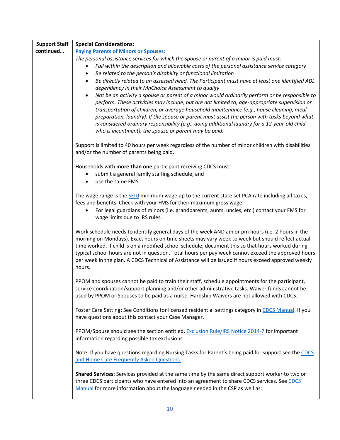<span id="page-9-0"></span>

| <b>Support Staff</b> | <b>Special Considerations:</b>                                                                                                                                                                                                                                                                                                                                                                                                                                                                                                                                      |
|----------------------|---------------------------------------------------------------------------------------------------------------------------------------------------------------------------------------------------------------------------------------------------------------------------------------------------------------------------------------------------------------------------------------------------------------------------------------------------------------------------------------------------------------------------------------------------------------------|
| continued            | <b>Paying Parents of Minors or Spouses:</b>                                                                                                                                                                                                                                                                                                                                                                                                                                                                                                                         |
|                      | The personal assistance services for which the spouse or parent of a minor is paid must:                                                                                                                                                                                                                                                                                                                                                                                                                                                                            |
|                      | Fall within the description and allowable costs of the personal assistance service category                                                                                                                                                                                                                                                                                                                                                                                                                                                                         |
|                      | Be related to the person's disability or functional limitation<br>$\bullet$                                                                                                                                                                                                                                                                                                                                                                                                                                                                                         |
|                      | Be directly related to an assessed need. The Participant must have at least one identified ADL<br>$\bullet$                                                                                                                                                                                                                                                                                                                                                                                                                                                         |
|                      | dependency in their MnChoice Assessment to qualify                                                                                                                                                                                                                                                                                                                                                                                                                                                                                                                  |
|                      | Not be an activity a spouse or parent of a minor would ordinarily perform or be responsible to<br>$\bullet$<br>perform. These activities may include, but are not limited to, age-appropriate supervision or<br>transportation of children, or average household maintenance (e.g., house cleaning, meal<br>preparation, laundry). If the spouse or parent must assist the person with tasks beyond what<br>is considered ordinary responsibility (e.g., doing additional laundry for a 12-year-old child<br>who is incontinent), the spouse or parent may be paid. |
|                      | Support is limited to 40 hours per week regardless of the number of minor children with disabilities<br>and/or the number of parents being paid.                                                                                                                                                                                                                                                                                                                                                                                                                    |
|                      | Households with more than one participant receiving CDCS must:                                                                                                                                                                                                                                                                                                                                                                                                                                                                                                      |
|                      | submit a general family staffing schedule, and                                                                                                                                                                                                                                                                                                                                                                                                                                                                                                                      |
|                      | use the same FMS.                                                                                                                                                                                                                                                                                                                                                                                                                                                                                                                                                   |
|                      |                                                                                                                                                                                                                                                                                                                                                                                                                                                                                                                                                                     |
|                      | The wage range is the SEIU minimum wage up to the current state set PCA rate including all taxes,                                                                                                                                                                                                                                                                                                                                                                                                                                                                   |
|                      | fees and benefits. Check with your FMS for their maximum gross wage.                                                                                                                                                                                                                                                                                                                                                                                                                                                                                                |
|                      | For legal guardians of minors (i.e. grandparents, aunts, uncles, etc.) contact your FMS for                                                                                                                                                                                                                                                                                                                                                                                                                                                                         |
|                      | wage limits due to IRS rules.                                                                                                                                                                                                                                                                                                                                                                                                                                                                                                                                       |
|                      | Work schedule needs to identify general days of the week AND am or pm hours (i.e. 2 hours in the<br>morning on Mondays). Exact hours on time sheets may vary week to week but should reflect actual<br>time worked. If child is on a modified school schedule, document this so that hours worked during<br>typical school hours are not in question. Total hours per pay week cannot exceed the approved hours<br>per week in the plan. A CDCS Technical of Assistance will be issued if hours exceed approved weekly<br>hours.                                    |
|                      | PPOM and spouses cannot be paid to train their staff, schedule appointments for the participant,<br>service coordination/support planning and/or other administrative tasks. Waiver funds cannot be<br>used by PPOM or Spouses to be paid as a nurse. Hardship Waivers are not allowed with CDCS.                                                                                                                                                                                                                                                                   |
|                      | Foster Care Setting: See Conditions for licensed residential settings category in CDCS Manual. If you<br>have questions about this contact your Case Manager.                                                                                                                                                                                                                                                                                                                                                                                                       |
|                      | PPOM/Spouse should see the section entitled, Exclusion Rule/IRS Notice 2014-7 for important<br>information regarding possible tax exclusions.                                                                                                                                                                                                                                                                                                                                                                                                                       |
|                      | Note: If you have questions regarding Nursing Tasks for Parent's being paid for support see the CDCS<br>and Home Care Frequently Asked Questions.                                                                                                                                                                                                                                                                                                                                                                                                                   |
|                      | Shared Services: Services provided at the same time by the same direct support worker to two or<br>three CDCS participants who have entered into an agreement to share CDCS services. See CDCS<br>Manual for more information about the language needed in the CSP as well as:                                                                                                                                                                                                                                                                                      |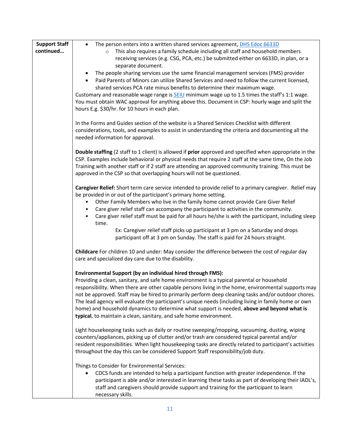| <b>Support Staff</b> | The person enters into a written shared services agreement, DHS Edoc 6633D<br>$\bullet$                                                                                                                    |
|----------------------|------------------------------------------------------------------------------------------------------------------------------------------------------------------------------------------------------------|
| continued            | This also requires a family schedule including all staff and household members<br>$\circ$                                                                                                                  |
|                      | receiving services (e.g. CSG, PCA, etc.) be submitted either on 6633D, in plan, or a                                                                                                                       |
|                      | separate document.                                                                                                                                                                                         |
|                      | The people sharing services use the same financial management services (FMS) provider                                                                                                                      |
|                      | Paid Parents of Minors can utilize Shared Services and need to follow the current licensed,                                                                                                                |
|                      | shared services PCA rate minus benefits to determine their maximum wage.                                                                                                                                   |
|                      | Customary and reasonable wage range is $SEIU$ minimum wage up to 1.5 times the staff's 1:1 wage.                                                                                                           |
|                      | You must obtain WAC approval for anything above this. Document in CSP: hourly wage and split the                                                                                                           |
|                      | hours E.g. \$30/hr. for 10 hours in each plan.                                                                                                                                                             |
|                      | In the Forms and Guides section of the website is a Shared Services Checklist with different                                                                                                               |
|                      | considerations, tools, and examples to assist in understanding the criteria and documenting all the                                                                                                        |
|                      | needed information for approval.                                                                                                                                                                           |
|                      |                                                                                                                                                                                                            |
|                      | Double staffing (2 staff to 1 client) is allowed if prior approved and specified when appropriate in the                                                                                                   |
|                      | CSP. Examples include behavioral or physical needs that require 2 staff at the same time, On the Job                                                                                                       |
|                      | Training with another staff or if 2 staff are attending an approved community training. This must be                                                                                                       |
|                      | approved in the CSP so that overlapping hours will not be questioned.                                                                                                                                      |
|                      | Caregiver Relief: Short term care service intended to provide relief to a primary caregiver. Relief may                                                                                                    |
|                      | be provided in or out of the participant's primary home setting.                                                                                                                                           |
|                      | Other Family Members who live in the family home cannot provide Care Giver Relief                                                                                                                          |
|                      | Care giver relief staff can accompany the participant to activities in the community.                                                                                                                      |
|                      | Care giver relief staff must be paid for all hours he/she is with the participant, including sleep                                                                                                         |
|                      | time.                                                                                                                                                                                                      |
|                      | Ex: Caregiver relief staff picks up participant at 3 pm on a Saturday and drops                                                                                                                            |
|                      | participant off at 3 pm on Sunday. The staff is paid for 24 hours straight.                                                                                                                                |
|                      | Childcare For children 10 and under: May consider the difference between the cost of regular day                                                                                                           |
|                      | care and specialized day care due to the disability.                                                                                                                                                       |
|                      |                                                                                                                                                                                                            |
|                      | Environmental Support (by an individual hired through FMS):                                                                                                                                                |
|                      | Providing a clean, sanitary, and safe home environment is a typical parental or household                                                                                                                  |
|                      | responsibility. When there are other capable persons living in the home, environmental supports may<br>not be approved. Staff may be hired to primarily perform deep cleaning tasks and/or outdoor chores. |
|                      | The lead agency will evaluate the participant's unique needs (including living in family home or own                                                                                                       |
|                      | home) and household dynamics to determine what support is needed, above and beyond what is                                                                                                                 |
|                      | typical, to maintain a clean, sanitary, and safe home environment.                                                                                                                                         |
|                      |                                                                                                                                                                                                            |
|                      | Light housekeeping tasks such as daily or routine sweeping/mopping, vacuuming, dusting, wiping                                                                                                             |
|                      | counters/appliances, picking up of clutter and/or trash are considered typical parental and/or                                                                                                             |
|                      | resident responsibilities. When light housekeeping tasks are directly related to participant's activities                                                                                                  |
|                      | throughout the day this can be considered Support Staff responsibility/job duty.                                                                                                                           |
|                      | Things to Consider for Environmental Services:                                                                                                                                                             |
|                      | CDCS funds are intended to help a participant function with greater independence. If the                                                                                                                   |
|                      | participant is able and/or interested in learning these tasks as part of developing their IADL's,                                                                                                          |
|                      | staff and caregivers should provide support and training for the participant to learn                                                                                                                      |
|                      | necessary skills.                                                                                                                                                                                          |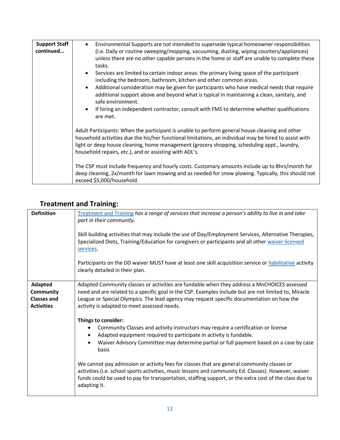| <b>Support Staff</b><br>continued | Environmental Supports are not intended to supersede typical homeowner responsibilities<br>$\bullet$<br>(I.e. Daily or routine sweeping/mopping, vacuuming, dusting, wiping counters/appliances)<br>unless there are no other capable persons in the home or staff are unable to complete these<br>tasks.<br>Services are limited to certain indoor areas: the primary living space of the participant<br>including the bedroom, bathroom, kitchen and other common areas.<br>Additional consideration may be given for participants who have medical needs that require<br>$\bullet$<br>additional support above and beyond what is typical in maintaining a clean, sanitary, and<br>safe environment.<br>If hiring an independent contractor, consult with FMS to determine whether qualifications<br>$\bullet$<br>are met. |
|-----------------------------------|-------------------------------------------------------------------------------------------------------------------------------------------------------------------------------------------------------------------------------------------------------------------------------------------------------------------------------------------------------------------------------------------------------------------------------------------------------------------------------------------------------------------------------------------------------------------------------------------------------------------------------------------------------------------------------------------------------------------------------------------------------------------------------------------------------------------------------|
|                                   | Adult Participants: When the participant is unable to perform general house cleaning and other<br>household activities due the his/her functional limitations, an individual may be hired to assist with<br>light or deep house cleaning, home management (grocery shopping, scheduling appt., laundry,<br>household repairs, etc.), and or assisting with ADL's.<br>The CSP must include frequency and hourly costs. Customary amounts include up to 8hrs/month for<br>deep cleaning, 2x/month for lawn mowing and as needed for snow plowing. Typically, this should not<br>exceed \$5,000/household.                                                                                                                                                                                                                       |

### <span id="page-11-0"></span>**Treatment and Training:**

<span id="page-11-2"></span><span id="page-11-1"></span>

| <b>Definition</b>                                                      | Treatment and Training has a range of services that increase a person's ability to live in and take<br>part in their community.<br>Skill building activities that may include the use of Day/Employment Services, Alternative Therapies,<br>Specialized Diets, Training/Education for caregivers or participants and all other waiver licensed  |
|------------------------------------------------------------------------|-------------------------------------------------------------------------------------------------------------------------------------------------------------------------------------------------------------------------------------------------------------------------------------------------------------------------------------------------|
|                                                                        | services.<br>Participants on the DD waiver MUST have at least one skill acquisition service or habilitative activity<br>clearly detailed in their plan.                                                                                                                                                                                         |
| Adapted<br><b>Community</b><br><b>Classes and</b><br><b>Activities</b> | Adapted Community classes or activities are fundable when they address a MnCHOICES assessed<br>need and are related to a specific goal in the CSP. Examples include but are not limited to, Miracle<br>League or Special Olympics. The lead agency may request specific documentation on how the<br>activity is adapted to meet assessed needs. |
|                                                                        | Things to consider:<br>Community Classes and activity instructors may require a certification or license<br>Adapted equipment required to participate in activity is fundable.<br>Waiver Advisory Committee may determine partial or full payment based on a case by case<br>basis                                                              |
|                                                                        | We cannot pay admission or activity fees for classes that are general community classes or<br>activities (i.e. school sports activities, music lessons and community Ed. Classes). However, waiver<br>funds could be used to pay for transportation, staffing support, or the extra cost of the class due to<br>adapting it.                    |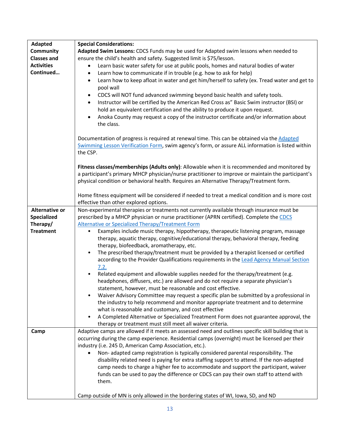<span id="page-12-1"></span><span id="page-12-0"></span>

| Adapted            | <b>Special Considerations:</b>                                                                                                              |
|--------------------|---------------------------------------------------------------------------------------------------------------------------------------------|
| <b>Community</b>   | Adapted Swim Lessons: CDCS Funds may be used for Adapted swim lessons when needed to                                                        |
| <b>Classes and</b> | ensure the child's health and safety. Suggested limit is \$75/lesson.                                                                       |
| <b>Activities</b>  | Learn basic water safety for use at public pools, homes and natural bodies of water<br>$\bullet$                                            |
| Continued          | Learn how to communicate if in trouble (e.g. how to ask for help)<br>$\bullet$                                                              |
|                    | Learn how to keep afloat in water and get him/herself to safety (ex. Tread water and get to<br>$\bullet$                                    |
|                    | pool wall                                                                                                                                   |
|                    | CDCS will NOT fund advanced swimming beyond basic health and safety tools.<br>$\bullet$                                                     |
|                    | Instructor will be certified by the American Red Cross as" Basic Swim instructor (BSI) or<br>$\bullet$                                      |
|                    | hold an equivalent certification and the ability to produce it upon request.                                                                |
|                    | Anoka County may request a copy of the instructor certificate and/or information about<br>$\bullet$                                         |
|                    | the class.                                                                                                                                  |
|                    |                                                                                                                                             |
|                    | Documentation of progress is required at renewal time. This can be obtained via the Adapted                                                 |
|                    | Swimming Lesson Verification Form, swim agency's form, or assure ALL information is listed within                                           |
|                    | the CSP.                                                                                                                                    |
|                    |                                                                                                                                             |
|                    | Fitness classes/memberships (Adults only): Allowable when it is recommended and monitored by                                                |
|                    | a participant's primary MHCP physician/nurse practitioner to improve or maintain the participant's                                          |
|                    | physical condition or behavioral health. Requires an Alternative Therapy/Treatment form.                                                    |
|                    |                                                                                                                                             |
|                    | Home fitness equipment will be considered if needed to treat a medical condition and is more cost<br>effective than other explored options. |
| Alternative or     | Non-experimental therapies or treatments not currently available through insurance must be                                                  |
| Specialized        | prescribed by a MHCP physician or nurse practitioner (APRN certified). Complete the CDCS                                                    |
| Therapy/           | Alternative or Specialized Therapy/Treatment Form                                                                                           |
| <b>Treatment</b>   | Examples include music therapy, hippotherapy, therapeutic listening program, massage<br>$\bullet$                                           |
|                    | therapy, aquatic therapy, cognitive/educational therapy, behavioral therapy, feeding                                                        |
|                    | therapy, biofeedback, aromatherapy, etc.                                                                                                    |
|                    | The prescribed therapy/treatment must be provided by a therapist licensed or certified<br>$\bullet$                                         |
|                    | according to the Provider Qualifications requirements in the Lead Agency Manual Section                                                     |
|                    | 7.2.                                                                                                                                        |
|                    | Related equipment and allowable supplies needed for the therapy/treatment (e.g.<br>$\bullet$                                                |
|                    | headphones, diffusers, etc.) are allowed and do not require a separate physician's                                                          |
|                    | statement, however, must be reasonable and cost effective.                                                                                  |
|                    | Waiver Advisory Committee may request a specific plan be submitted by a professional in                                                     |
|                    | the industry to help recommend and monitor appropriate treatment and to determine                                                           |
|                    | what is reasonable and customary, and cost effective                                                                                        |
|                    | A Completed Alternative or Specialized Treatment Form does not guarantee approval, the                                                      |
|                    | therapy or treatment must still meet all waiver criteria.                                                                                   |
| <b>Camp</b>        | Adaptive camps are allowed if it meets an assessed need and outlines specific skill building that is                                        |
|                    | occurring during the camp experience. Residential camps (overnight) must be licensed per their                                              |
|                    | industry (i.e. 245 D, American Camp Association, etc.).                                                                                     |
|                    | Non-adapted camp registration is typically considered parental responsibility. The                                                          |
|                    | disability related need is paying for extra staffing support to attend. If the non-adapted                                                  |
|                    | camp needs to charge a higher fee to accommodate and support the participant, waiver                                                        |
|                    | funds can be used to pay the difference or CDCS can pay their own staff to attend with                                                      |
|                    | them.                                                                                                                                       |
|                    |                                                                                                                                             |
|                    | Camp outside of MN is only allowed in the bordering states of WI, Iowa, SD, and ND                                                          |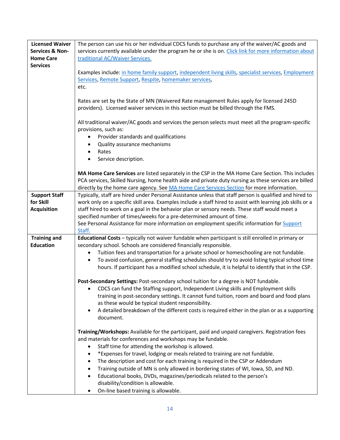<span id="page-13-2"></span><span id="page-13-1"></span><span id="page-13-0"></span>

| <b>Licensed Waiver</b>     | The person can use his or her individual CDCS funds to purchase any of the waiver/AC goods and                                                  |
|----------------------------|-------------------------------------------------------------------------------------------------------------------------------------------------|
| <b>Services &amp; Non-</b> | services currently available under the program he or she is on. Click link for more information about                                           |
| <b>Home Care</b>           | traditional AC/Waiver Services.                                                                                                                 |
| <b>Services</b>            |                                                                                                                                                 |
|                            | Examples include: in home family support, independent living skills, specialist services, Employment                                            |
|                            | Services, Remote Support, Respite, homemaker services,                                                                                          |
|                            | etc.                                                                                                                                            |
|                            |                                                                                                                                                 |
|                            | Rates are set by the State of MN (Waivered Rate management Rules apply for licensed 245D                                                        |
|                            | providers). Licensed waiver services in this section must be billed through the FMS.                                                            |
|                            |                                                                                                                                                 |
|                            | All traditional waiver/AC goods and services the person selects must meet all the program-specific<br>provisions, such as:                      |
|                            |                                                                                                                                                 |
|                            | Provider standards and qualifications<br>Quality assurance mechanisms<br>$\bullet$                                                              |
|                            | Rates<br>$\bullet$                                                                                                                              |
|                            | Service description.<br>$\bullet$                                                                                                               |
|                            |                                                                                                                                                 |
|                            | MA Home Care Services are listed separately in the CSP in the MA Home Care Section. This includes                                               |
|                            | PCA services, Skilled Nursing, home health aide and private duty nursing as these services are billed                                           |
|                            | directly by the home care agency. See MA Home Care Services Section for more information.                                                       |
| <b>Support Staff</b>       | Typically, staff are hired under Personal Assistance unless that staff person is qualified and hired to                                         |
| for Skill                  | work only on a specific skill area. Examples include a staff hired to assist with learning job skills or a                                      |
| <b>Acquisition</b>         | staff hired to work on a goal in the behavior plan or sensory needs. These staff would meet a                                                   |
|                            | specified number of times/weeks for a pre-determined amount of time.                                                                            |
|                            | See Personal Assistance for more information on employment specific information for <b>Support</b>                                              |
|                            | Staff.                                                                                                                                          |
| Training and               | Educational Costs - typically not waiver fundable when participant is still enrolled in primary or                                              |
| <b>Education</b>           | secondary school. Schools are considered financially responsible.                                                                               |
|                            | Tuition fees and transportation for a private school or homeschooling are not fundable.                                                         |
|                            | To avoid confusion, general staffing schedules should try to avoid listing typical school time<br>$\bullet$                                     |
|                            | hours. If participant has a modified school schedule, it is helpful to identify that in the CSP.                                                |
|                            |                                                                                                                                                 |
|                            | Post-Secondary Settings: Post-secondary school tuition for a degree is NOT fundable.                                                            |
|                            | CDCS can fund the Staffing support, Independent Living skills and Employment skills                                                             |
|                            | training in post-secondary settings. It cannot fund tuition, room and board and food plans<br>as these would be typical student responsibility. |
|                            | A detailed breakdown of the different costs is required either in the plan or as a supporting                                                   |
|                            | document.                                                                                                                                       |
|                            |                                                                                                                                                 |
|                            | Training/Workshops: Available for the participant, paid and unpaid caregivers. Registration fees                                                |
|                            | and materials for conferences and workshops may be fundable.                                                                                    |
|                            | Staff time for attending the workshop is allowed.                                                                                               |
|                            | *Expenses for travel, lodging or meals related to training are not fundable.<br>٠                                                               |
|                            | The description and cost for each training is required in the CSP or Addendum<br>$\bullet$                                                      |
|                            | Training outside of MN is only allowed in bordering states of WI, Iowa, SD, and ND.<br>$\bullet$                                                |
|                            | Educational books, DVDs, magazines/periodicals related to the person's<br>$\bullet$                                                             |
|                            | disability/condition is allowable.                                                                                                              |
|                            | On-line based training is allowable.<br>$\bullet$                                                                                               |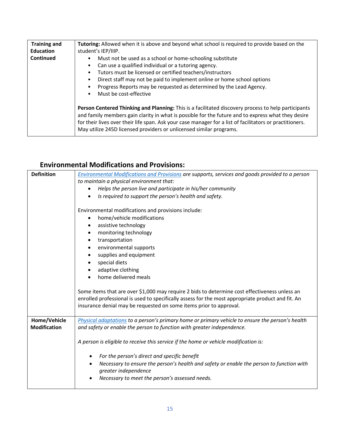| Training and<br><b>Education</b> | Tutoring: Allowed when it is above and beyond what school is required to provide based on the<br>student's IEP/IIIP.                                                                                                                                                                                                                                                                         |
|----------------------------------|----------------------------------------------------------------------------------------------------------------------------------------------------------------------------------------------------------------------------------------------------------------------------------------------------------------------------------------------------------------------------------------------|
| <b>Continued</b>                 | Must not be used as a school or home-schooling substitute<br>٠<br>Can use a qualified individual or a tutoring agency.<br>Tutors must be licensed or certified teachers/instructors<br>Direct staff may not be paid to implement online or home school options<br>٠<br>Progress Reports may be requested as determined by the Lead Agency.<br>Must be cost-effective<br>$\bullet$            |
|                                  | Person Centered Thinking and Planning: This is a facilitated discovery process to help participants<br>and family members gain clarity in what is possible for the future and to express what they desire<br>for their lives over their life span. Ask your case manager for a list of facilitators or practitioners.<br>May utilize 245D licensed providers or unlicensed similar programs. |

#### <span id="page-14-0"></span>**Environmental Modifications and Provisions:**

<span id="page-14-2"></span><span id="page-14-1"></span>

| <b>Definition</b>   | Environmental Modifications and Provisions are supports, services and goods provided to a person  |
|---------------------|---------------------------------------------------------------------------------------------------|
|                     | to maintain a physical environment that:                                                          |
|                     | Helps the person live and participate in his/her community<br>$\bullet$                           |
|                     | Is required to support the person's health and safety.                                            |
|                     |                                                                                                   |
|                     | Environmental modifications and provisions include:                                               |
|                     | home/vehicle modifications<br>$\bullet$                                                           |
|                     | assistive technology<br>٠                                                                         |
|                     | monitoring technology<br>$\bullet$                                                                |
|                     | transportation<br>٠                                                                               |
|                     | environmental supports<br>$\bullet$                                                               |
|                     | supplies and equipment<br>$\bullet$                                                               |
|                     | special diets<br>$\bullet$                                                                        |
|                     | adaptive clothing<br>٠                                                                            |
|                     | home delivered meals                                                                              |
|                     | Some items that are over \$1,000 may require 2 bids to determine cost effectiveness unless an     |
|                     | enrolled professional is used to specifically assess for the most appropriate product and fit. An |
|                     | insurance denial may be requested on some items prior to approval.                                |
|                     |                                                                                                   |
| Home/Vehicle        | Physical adaptations to a person's primary home or primary vehicle to ensure the person's health  |
| <b>Modification</b> | and safety or enable the person to function with greater independence.                            |
|                     |                                                                                                   |
|                     | A person is eligible to receive this service if the home or vehicle modification is:              |
|                     |                                                                                                   |
|                     | For the person's direct and specific benefit<br>$\bullet$                                         |
|                     | Necessary to ensure the person's health and safety or enable the person to function with          |
|                     | greater independence                                                                              |
|                     | Necessary to meet the person's assessed needs.<br>$\bullet$                                       |
|                     |                                                                                                   |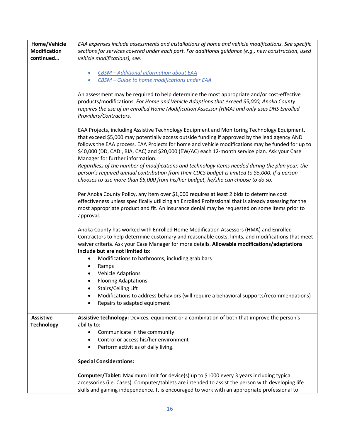<span id="page-15-0"></span>

| Home/Vehicle<br><b>Modification</b><br>continued | EAA expenses include assessments and installations of home and vehicle modifications. See specific<br>sections for services covered under each part. For additional guidance (e.g., new construction, used<br>vehicle modifications), see:<br>CBSM - Additional information about EAA<br>CBSM - Guide to home modifications under EAA<br>$\bullet$<br>An assessment may be required to help determine the most appropriate and/or cost-effective<br>products/modifications. For Home and Vehicle Adaptions that exceed \$5,000, Anoka County<br>requires the use of an enrolled Home Modification Assessor (HMA) and only uses DHS Enrolled                                                                                                               |
|--------------------------------------------------|-----------------------------------------------------------------------------------------------------------------------------------------------------------------------------------------------------------------------------------------------------------------------------------------------------------------------------------------------------------------------------------------------------------------------------------------------------------------------------------------------------------------------------------------------------------------------------------------------------------------------------------------------------------------------------------------------------------------------------------------------------------|
|                                                  | Providers/Contractors.<br>EAA Projects, including Assistive Technology Equipment and Monitoring Technology Equipment,<br>that exceed \$5,000 may potentially access outside funding if approved by the lead agency AND<br>follows the EAA process. EAA Projects for home and vehicle modifications may be funded for up to<br>\$40,000 (DD, CADI, BIA, CAC) and \$20,000 (EW/AC) each 12-month service plan. Ask your Case<br>Manager for further information.<br>Regardless of the number of modifications and technology items needed during the plan year, the<br>person's required annual contribution from their CDCS budget is limited to \$5,000. If a person<br>chooses to use more than \$5,000 from his/her budget, he/she can choose to do so. |
|                                                  | Per Anoka County Policy, any item over \$1,000 requires at least 2 bids to determine cost<br>effectiveness unless specifically utilizing an Enrolled Professional that is already assessing for the<br>most appropriate product and fit. An insurance denial may be requested on some items prior to<br>approval.                                                                                                                                                                                                                                                                                                                                                                                                                                         |
|                                                  | Anoka County has worked with Enrolled Home Modification Assessors (HMA) and Enrolled<br>Contractors to help determine customary and reasonable costs, limits, and modifications that meet<br>waiver criteria. Ask your Case Manager for more details. Allowable modifications/adaptations<br>include but are not limited to:                                                                                                                                                                                                                                                                                                                                                                                                                              |
|                                                  | Modifications to bathrooms, including grab bars<br>$\bullet$<br>Ramps<br>$\bullet$<br><b>Vehicle Adaptions</b><br>$\bullet$<br><b>Flooring Adaptations</b><br>Stairs/Ceiling Lift<br>Modifications to address behaviors (will require a behavioral supports/recommendations)<br>$\bullet$<br>Repairs to adapted equipment                                                                                                                                                                                                                                                                                                                                                                                                                                 |
| <b>Assistive</b>                                 | Assistive technology: Devices, equipment or a combination of both that improve the person's                                                                                                                                                                                                                                                                                                                                                                                                                                                                                                                                                                                                                                                               |
| <b>Technology</b>                                | ability to:                                                                                                                                                                                                                                                                                                                                                                                                                                                                                                                                                                                                                                                                                                                                               |
|                                                  | Communicate in the community                                                                                                                                                                                                                                                                                                                                                                                                                                                                                                                                                                                                                                                                                                                              |
|                                                  | Control or access his/her environment<br>Perform activities of daily living.                                                                                                                                                                                                                                                                                                                                                                                                                                                                                                                                                                                                                                                                              |
|                                                  | <b>Special Considerations:</b>                                                                                                                                                                                                                                                                                                                                                                                                                                                                                                                                                                                                                                                                                                                            |
|                                                  | Computer/Tablet: Maximum limit for device(s) up to \$1000 every 3 years including typical<br>accessories (i.e. Cases). Computer/tablets are intended to assist the person with developing life<br>skills and gaining independence. It is encouraged to work with an appropriate professional to                                                                                                                                                                                                                                                                                                                                                                                                                                                           |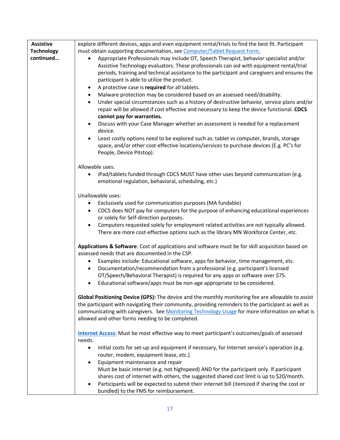| Assistive         | explore different devices, apps and even equipment rental/trials to find the best fit. Participant                       |
|-------------------|--------------------------------------------------------------------------------------------------------------------------|
| <b>Technology</b> | must obtain supporting documentation, see Computer/Tablet Request Form.                                                  |
| continued         | Appropriate Professionals may include OT, Speech Therapist, behavior specialist and/or                                   |
|                   | Assistive Technology evaluators. These professionals can aid with equipment rental/trial                                 |
|                   | periods, training and technical assistance to the participant and caregivers and ensures the                             |
|                   | participant is able to utilize the product.                                                                              |
|                   | A protective case is required for all tablets.<br>٠                                                                      |
|                   | Malware protection may be considered based on an assessed need/disability.<br>$\bullet$                                  |
|                   | Under special circumstances such as a history of destructive behavior, service plans and/or<br>$\bullet$                 |
|                   | repair will be allowed if cost effective and necessary to keep the device functional. CDCS<br>cannot pay for warranties. |
|                   | Discuss with your Case Manager whether an assessment is needed for a replacement                                         |
|                   | device.                                                                                                                  |
|                   | Least costly options need to be explored such as: tablet vs computer, brands, storage<br>$\bullet$                       |
|                   | space, and/or other cost-effective locations/services to purchase devices (E.g. PC's for                                 |
|                   | People, Device Pitstop).                                                                                                 |
|                   | Allowable uses:                                                                                                          |
|                   | iPad/tablets funded through CDCS MUST have other uses beyond communication (e.g.                                         |
|                   | emotional regulation, behavioral, scheduling, etc.)                                                                      |
|                   | Unallowable uses:                                                                                                        |
|                   | Exclusively used for communication purposes (MA fundable)                                                                |
|                   | CDCS does NOT pay for computers for the purpose of enhancing educational experiences<br>$\bullet$                        |
|                   | or solely for Self-direction purposes.                                                                                   |
|                   | Computers requested solely for employment related activities are not typically allowed.<br>$\bullet$                     |
|                   | There are more cost-effective options such as the library MN Workforce Center, etc.                                      |
|                   | Applications & Software: Cost of applications and software must be for skill acquisition based on                        |
|                   | assessed needs that are documented in the CSP.                                                                           |
|                   | Examples include: Educational software, apps for behavior, time management, etc.<br>$\bullet$                            |
|                   | Documentation/recommendation from a professional (e.g. participant's licensed<br>$\bullet$                               |
|                   | OT/Speech/Behavioral Therapist) is required for any apps or software over \$75.                                          |
|                   | Educational software/apps must be non-age appropriate to be considered.<br>$\bullet$                                     |
|                   | Global Positioning Device (GPS): The device and the monthly monitoring fee are allowable to assist                       |
|                   | the participant with navigating their community, providing reminders to the participant as well as                       |
|                   | communicating with caregivers. See Monitoring Technology Usage for more information on what is                           |
|                   | allowed and other forms needing to be completed.                                                                         |
|                   | Internet Access: Must be most effective way to meet participant's outcomes/goals of assessed                             |
|                   | needs.                                                                                                                   |
|                   | Initial costs for set-up and equipment if necessary, for Internet service's operation (e.g.                              |
|                   | router, modem, equipment lease, etc.)                                                                                    |
|                   | Equipment maintenance and repair<br>$\bullet$                                                                            |
|                   | Must be basic internet (e.g. not highspeed) AND for the participant only. If participant                                 |
|                   | shares cost of internet with others, the suggested shared cost limit is up to \$20/month.                                |
|                   | Participants will be expected to submit their internet bill (itemized if sharing the cost or                             |
|                   | bundled) to the FMS for reimbursement.                                                                                   |

H.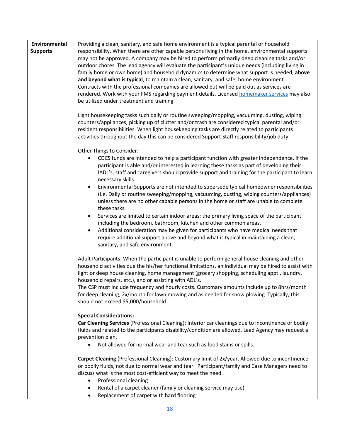<span id="page-17-0"></span>

| Environmental<br><b>Supports</b> | Providing a clean, sanitary, and safe home environment is a typical parental or household<br>responsibility. When there are other capable persons living in the home, environmental supports<br>may not be approved. A company may be hired to perform primarily deep cleaning tasks and/or<br>outdoor chores. The lead agency will evaluate the participant's unique needs (including living in<br>family home or own home) and household dynamics to determine what support is needed, above<br>and beyond what is typical, to maintain a clean, sanitary, and safe, home environment.<br>Contracts with the professional companies are allowed but will be paid out as services are<br>rendered. Work with your FMS regarding payment details. Licensed homemaker services may also<br>be utilized under treatment and training.                                                                                                                                                                                                                              |
|----------------------------------|------------------------------------------------------------------------------------------------------------------------------------------------------------------------------------------------------------------------------------------------------------------------------------------------------------------------------------------------------------------------------------------------------------------------------------------------------------------------------------------------------------------------------------------------------------------------------------------------------------------------------------------------------------------------------------------------------------------------------------------------------------------------------------------------------------------------------------------------------------------------------------------------------------------------------------------------------------------------------------------------------------------------------------------------------------------|
|                                  | Light housekeeping tasks such daily or routine sweeping/mopping, vacuuming, dusting, wiping<br>counters/appliances, picking up of clutter and/or trash are considered typical parental and/or<br>resident responsibilities. When light housekeeping tasks are directly related to participants<br>activities throughout the day this can be considered Support Staff responsibility/job duty.                                                                                                                                                                                                                                                                                                                                                                                                                                                                                                                                                                                                                                                                    |
|                                  | Other Things to Consider:<br>CDCS funds are intended to help a participant function with greater independence. If the<br>participant is able and/or interested in learning these tasks as part of developing their<br>IADL's, staff and caregivers should provide support and training for the participant to learn<br>necessary skills.<br>Environmental Supports are not intended to supersede typical homeowner responsibilities<br>$\bullet$<br>(I.e. Daily or routine sweeping/mopping, vacuuming, dusting, wiping counters/appliances)<br>unless there are no other capable persons in the home or staff are unable to complete<br>these tasks.<br>Services are limited to certain indoor areas: the primary living space of the participant<br>$\bullet$<br>including the bedroom, bathroom, kitchen and other common areas.<br>Additional consideration may be given for participants who have medical needs that<br>$\bullet$<br>require additional support above and beyond what is typical in maintaining a clean,<br>sanitary, and safe environment. |
|                                  | Adult Participants: When the participant is unable to perform general house cleaning and other<br>household activities due the his/her functional limitations, an individual may be hired to assist with<br>light or deep house cleaning, home management (grocery shopping, scheduling appt., laundry,<br>household repairs, etc.), and or assisting with ADL's.<br>The CSP must include frequency and hourly costs. Customary amounts include up to 8hrs/month<br>for deep cleaning, 2x/month for lawn mowing and as needed for snow plowing. Typically, this<br>should not exceed \$5,000/household.                                                                                                                                                                                                                                                                                                                                                                                                                                                          |
|                                  | <b>Special Considerations:</b><br>Car Cleaning Services (Professional Cleaning): Interior car cleanings due to incontinence or bodily<br>fluids and related to the participants disability/condition are allowed. Lead Agency may request a<br>prevention plan.<br>Not allowed for normal wear and tear such as food stains or spills.                                                                                                                                                                                                                                                                                                                                                                                                                                                                                                                                                                                                                                                                                                                           |
|                                  | Carpet Cleaning (Professional Cleaning): Customary limit of 2x/year. Allowed due to incontinence<br>or bodily fluids, not due to normal wear and tear. Participant/family and Case Managers need to<br>discuss what is the most cost-efficient way to meet the need.<br>Professional cleaning<br>$\bullet$<br>Rental of a carpet cleaner (family or cleaning service may use)<br>٠<br>Replacement of carpet with hard flooring<br>$\bullet$                                                                                                                                                                                                                                                                                                                                                                                                                                                                                                                                                                                                                      |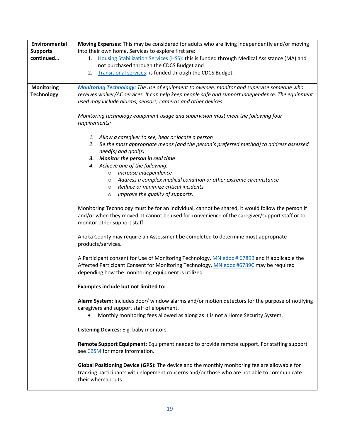<span id="page-18-0"></span>

| Environmental     | Moving Expenses: This may be considered for adults who are living independently and/or moving     |
|-------------------|---------------------------------------------------------------------------------------------------|
| <b>Supports</b>   | into their own home. Services to explore first are:                                               |
| continued         | 1. Housing Stabilization Services (HSS): this is funded through Medical Assistance (MA) and       |
|                   | not purchased through the CDCS Budget and                                                         |
|                   | Transitional services: is funded through the CDCS Budget.<br>2.                                   |
|                   |                                                                                                   |
| <b>Monitoring</b> | Monitoring Technology: The use of equipment to oversee, monitor and supervise someone who         |
| <b>Technology</b> | receives waiver/AC services. It can help keep people safe and support independence. The equipment |
|                   | used may include alarms, sensors, cameras and other devices.                                      |
|                   |                                                                                                   |
|                   | Monitoring technology equipment usage and supervision must meet the following four                |
|                   | requirements:                                                                                     |
|                   |                                                                                                   |
|                   | 1. Allow a caregiver to see, hear or locate a person                                              |
|                   | 2. Be the most appropriate means (and the person's preferred method) to address assessed          |
|                   | need(s) and goal(s)                                                                               |
|                   | 3. Monitor the person in real time                                                                |
|                   | 4. Achieve one of the following:<br>Increase independence                                         |
|                   | $\circ$<br>Address a complex medical condition or other extreme circumstance                      |
|                   | $\circ$<br>Reduce or minimize critical incidents<br>$\circ$                                       |
|                   | Improve the quality of supports.<br>$\circ$                                                       |
|                   |                                                                                                   |
|                   | Monitoring Technology must be for an individual, cannot be shared, it would follow the person if  |
|                   | and/or when they moved. It cannot be used for convenience of the caregiver/support staff or to    |
|                   | monitor other support staff.                                                                      |
|                   |                                                                                                   |
|                   | Anoka County may require an Assessment be completed to determine most appropriate                 |
|                   | products/services.                                                                                |
|                   |                                                                                                   |
|                   | A Participant consent for Use of Monitoring Technology, MN edoc # 6789B and if applicable the     |
|                   | Affected Participant Consent for Monitoring Technology, MN edoc #6789C may be required            |
|                   | depending how the monitoring equipment is utilized.                                               |
|                   |                                                                                                   |
|                   | Examples include but not limited to:                                                              |
|                   |                                                                                                   |
|                   | Alarm System: Includes door/ window alarms and/or motion detectors for the purpose of notifying   |
|                   | caregivers and support staff of elopement.                                                        |
|                   | Monthly monitoring fees allowed as along as it is not a Home Security System.                     |
|                   |                                                                                                   |
|                   | Listening Devices: E.g. baby monitors                                                             |
|                   | Remote Support Equipment: Equipment needed to provide remote support. For staffing support        |
|                   | see CBSM for more information.                                                                    |
|                   |                                                                                                   |
|                   | Global Positioning Device (GPS): The device and the monthly monitoring fee are allowable for      |
|                   | tracking participants with elopement concerns and/or those who are not able to communicate        |
|                   | their whereabouts.                                                                                |
|                   |                                                                                                   |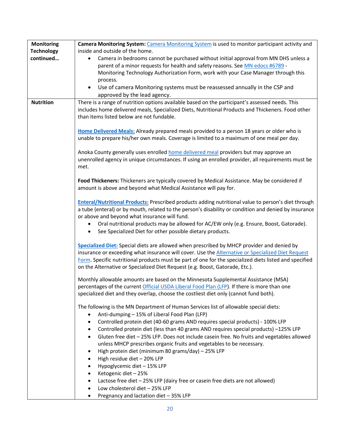<span id="page-19-0"></span>

| <b>Monitoring</b><br><b>Technology</b> | Camera Monitoring System: Camera Monitoring System is used to monitor participant activity and<br>inside and outside of the home. |
|----------------------------------------|-----------------------------------------------------------------------------------------------------------------------------------|
| continued                              | Camera in bedrooms cannot be purchased without initial approval from MN DHS unless a                                              |
|                                        | $\bullet$<br>parent of a minor requests for health and safety reasons. See MN edocs #6789 -                                       |
|                                        | Monitoring Technology Authorization Form, work with your Case Manager through this                                                |
|                                        | process.                                                                                                                          |
|                                        | Use of camera Monitoring systems must be reassessed annually in the CSP and<br>$\bullet$                                          |
|                                        | approved by the lead agency.                                                                                                      |
| Nutrition                              | There is a range of nutrition options available based on the participant's assessed needs. This                                   |
|                                        | includes home delivered meals, Specialized Diets, Nutritional Products and Thickeners. Food other                                 |
|                                        | than items listed below are not fundable.                                                                                         |
|                                        |                                                                                                                                   |
|                                        | Home Delivered Meals: Already prepared meals provided to a person 18 years or older who is                                        |
|                                        | unable to prepare his/her own meals. Coverage is limited to a maximum of one meal per day.                                        |
|                                        |                                                                                                                                   |
|                                        | Anoka County generally uses enrolled home delivered meal providers but may approve an                                             |
|                                        | unenrolled agency in unique circumstances. If using an enrolled provider, all requirements must be                                |
|                                        | met.                                                                                                                              |
|                                        |                                                                                                                                   |
|                                        | Food Thickeners: Thickeners are typically covered by Medical Assistance. May be considered if                                     |
|                                        | amount is above and beyond what Medical Assistance will pay for.                                                                  |
|                                        |                                                                                                                                   |
|                                        | <b>Enteral/Nutritional Products:</b> Prescribed products adding nutritional value to person's diet through                        |
|                                        | a tube (enteral) or by mouth, related to the person's disability or condition and denied by insurance                             |
|                                        | or above and beyond what insurance will fund.                                                                                     |
|                                        | Oral nutritional products may be allowed for AC/EW only (e.g. Ensure, Boost, Gatorade).<br>$\bullet$                              |
|                                        | See Specialized Diet for other possible dietary products.<br>$\bullet$                                                            |
|                                        |                                                                                                                                   |
|                                        | Specialized Diet: Special diets are allowed when prescribed by MHCP provider and denied by                                        |
|                                        | insurance or exceeding what insurance will cover. Use the Alternative or Specialized Diet Request                                 |
|                                        | Form. Specific nutritional products must be part of one for the specialized diets listed and specified                            |
|                                        | on the Alternative or Specialized Diet Request (e.g. Boost, Gatorade, Etc.).                                                      |
|                                        | Monthly allowable amounts are based on the Minnesota Supplemental Assistance (MSA)                                                |
|                                        | percentages of the current Official USDA Liberal Food Plan (LFP). If there is more than one                                       |
|                                        | specialized diet and they overlap, choose the costliest diet only (cannot fund both).                                             |
|                                        |                                                                                                                                   |
|                                        | The following is the MN Department of Human Services list of allowable special diets:                                             |
|                                        | Anti-dumping - 15% of Liberal Food Plan (LFP)<br>$\bullet$                                                                        |
|                                        | Controlled protein diet (40-60 grams AND requires special products) - 100% LFP<br>$\bullet$                                       |
|                                        | Controlled protein diet (less than 40 grams AND requires special products) -125% LFP<br>٠                                         |
|                                        | Gluten free diet - 25% LFP. Does not include casein free. No fruits and vegetables allowed<br>$\bullet$                           |
|                                        | unless MHCP prescribes organic fruits and vegetables to be necessary.                                                             |
|                                        | High protein diet (minimum 80 grams/day) - 25% LFP<br>$\bullet$                                                                   |
|                                        | High residue diet - 20% LFP<br>$\bullet$                                                                                          |
|                                        | Hypoglycemic diet - 15% LFP<br>$\bullet$                                                                                          |
|                                        | Ketogenic diet - 25%<br>$\bullet$                                                                                                 |
|                                        | Lactose free diet - 25% LFP (dairy free or casein free diets are not allowed)<br>$\bullet$                                        |
|                                        | Low cholesterol diet - 25% LFP<br>$\bullet$                                                                                       |
|                                        | Pregnancy and lactation diet - 35% LFP                                                                                            |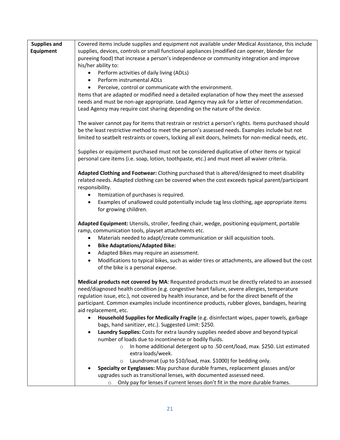<span id="page-20-0"></span>

| Supplies and | Covered items include supplies and equipment not available under Medical Assistance, this include         |
|--------------|-----------------------------------------------------------------------------------------------------------|
| Equipment    | supplies, devices, controls or small functional appliances (modified can opener, blender for              |
|              | pureeing food) that increase a person's independence or community integration and improve                 |
|              | his/her ability to:                                                                                       |
|              | Perform activities of daily living (ADLs)<br>$\bullet$                                                    |
|              | Perform instrumental ADLs<br>$\bullet$                                                                    |
|              | Perceive, control or communicate with the environment.<br>$\bullet$                                       |
|              | Items that are adapted or modified need a detailed explanation of how they meet the assessed              |
|              | needs and must be non-age appropriate. Lead Agency may ask for a letter of recommendation.                |
|              | Lead Agency may require cost sharing depending on the nature of the device.                               |
|              |                                                                                                           |
|              | The waiver cannot pay for items that restrain or restrict a person's rights. Items purchased should       |
|              | be the least restrictive method to meet the person's assessed needs. Examples include but not             |
|              | limited to seatbelt restraints or covers, locking all exit doors, helmets for non-medical needs, etc.     |
|              |                                                                                                           |
|              | Supplies or equipment purchased must not be considered duplicative of other items or typical              |
|              | personal care items (i.e. soap, lotion, toothpaste, etc.) and must meet all waiver criteria.              |
|              |                                                                                                           |
|              | Adapted Clothing and Footwear: Clothing purchased that is altered/designed to meet disability             |
|              | related needs. Adapted clothing can be covered when the cost exceeds typical parent/participant           |
|              | responsibility.                                                                                           |
|              | Itemization of purchases is required.<br>$\bullet$                                                        |
|              | Examples of unallowed could potentially include tag less clothing, age appropriate items<br>$\bullet$     |
|              | for growing children.                                                                                     |
|              |                                                                                                           |
|              | Adapted Equipment: Utensils, stroller, feeding chair, wedge, positioning equipment, portable              |
|              | ramp, communication tools, playset attachments etc.                                                       |
|              | Materials needed to adapt/create communication or skill acquisition tools.<br>$\bullet$                   |
|              | <b>Bike Adaptations/Adapted Bike:</b><br>$\bullet$                                                        |
|              | Adapted Bikes may require an assessment.<br>$\bullet$                                                     |
|              | Modifications to typical bikes, such as wider tires or attachments, are allowed but the cost<br>$\bullet$ |
|              | of the bike is a personal expense.                                                                        |
|              |                                                                                                           |
|              | Medical products not covered by MA: Requested products must be directly related to an assessed            |
|              | need/diagnosed health condition (e.g. congestive heart failure, severe allergies, temperature             |
|              | regulation issue, etc.), not covered by health insurance, and be for the direct benefit of the            |
|              | participant. Common examples include incontinence products, rubber gloves, bandages, hearing              |
|              | aid replacement, etc.                                                                                     |
|              | Household Supplies for Medically Fragile (e.g. disinfectant wipes, paper towels, garbage                  |
|              | bags, hand sanitizer, etc.). Suggested Limit: \$250.                                                      |
|              | Laundry Supplies: Costs for extra laundry supplies needed above and beyond typical<br>$\bullet$           |
|              | number of loads due to incontinence or bodily fluids.                                                     |
|              | In home additional detergent up to .50 cent/load, max. \$250. List estimated<br>$\circ$                   |
|              | extra loads/week.                                                                                         |
|              | Laundromat (up to \$10/load, max. \$1000) for bedding only.<br>$\circ$                                    |
|              | Specialty or Eyeglasses: May purchase durable frames, replacement glasses and/or                          |
|              | upgrades such as transitional lenses, with documented assessed need.                                      |
|              | Only pay for lenses if current lenses don't fit in the more durable frames.<br>$\circ$                    |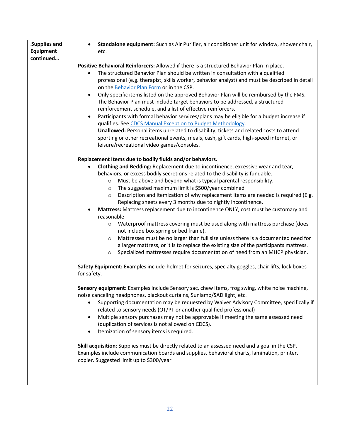| Supplies and | Standalone equipment: Such as Air Purifier, air conditioner unit for window, shower chair,<br>$\bullet$                                                                                                                                                                                                                                                                                                                                                                                                                                                                                                                                                                                                                                                                                                                                                                                                                                                                                                                                                                     |
|--------------|-----------------------------------------------------------------------------------------------------------------------------------------------------------------------------------------------------------------------------------------------------------------------------------------------------------------------------------------------------------------------------------------------------------------------------------------------------------------------------------------------------------------------------------------------------------------------------------------------------------------------------------------------------------------------------------------------------------------------------------------------------------------------------------------------------------------------------------------------------------------------------------------------------------------------------------------------------------------------------------------------------------------------------------------------------------------------------|
| Equipment    | etc.                                                                                                                                                                                                                                                                                                                                                                                                                                                                                                                                                                                                                                                                                                                                                                                                                                                                                                                                                                                                                                                                        |
| continued    |                                                                                                                                                                                                                                                                                                                                                                                                                                                                                                                                                                                                                                                                                                                                                                                                                                                                                                                                                                                                                                                                             |
|              | Positive Behavioral Reinforcers: Allowed if there is a structured Behavior Plan in place.<br>The structured Behavior Plan should be written in consultation with a qualified<br>professional (e.g. therapist, skills worker, behavior analyst) and must be described in detail<br>on the Behavior Plan Form or in the CSP.<br>Only specific items listed on the approved Behavior Plan will be reimbursed by the FMS.<br>$\bullet$<br>The Behavior Plan must include target behaviors to be addressed, a structured<br>reinforcement schedule, and a list of effective reinforcers.<br>Participants with formal behavior services/plans may be eligible for a budget increase if<br>qualifies. See CDCS Manual Exception to Budget Methodology.<br>Unallowed: Personal items unrelated to disability, tickets and related costs to attend                                                                                                                                                                                                                                   |
|              | sporting or other recreational events, meals, cash, gift cards, high-speed internet, or<br>leisure/recreational video games/consoles.                                                                                                                                                                                                                                                                                                                                                                                                                                                                                                                                                                                                                                                                                                                                                                                                                                                                                                                                       |
|              | Replacement Items due to bodily fluids and/or behaviors.<br>Clothing and Bedding: Replacement due to incontinence, excessive wear and tear,<br>behaviors, or excess bodily secretions related to the disability is fundable.<br>Must be above and beyond what is typical parental responsibility.<br>$\circ$<br>The suggested maximum limit is \$500/year combined<br>$\circ$<br>Description and itemization of why replacement items are needed is required (E.g.<br>$\circ$<br>Replacing sheets every 3 months due to nightly incontinence.<br>Mattress: Mattress replacement due to incontinence ONLY, cost must be customary and<br>reasonable<br>Waterproof mattress covering must be used along with mattress purchase (does<br>$\circ$<br>not include box spring or bed frame).<br>Mattresses must be no larger than full size unless there is a documented need for<br>$\circ$<br>a larger mattress, or it is to replace the existing size of the participants mattress.<br>Specialized mattresses require documentation of need from an MHCP physician.<br>$\circ$ |
|              | Safety Equipment: Examples include-helmet for seizures, specialty goggles, chair lifts, lock boxes<br>for safety.                                                                                                                                                                                                                                                                                                                                                                                                                                                                                                                                                                                                                                                                                                                                                                                                                                                                                                                                                           |
|              | Sensory equipment: Examples include Sensory sac, chew items, frog swing, white noise machine<br>noise canceling headphones, blackout curtains, Sunlamp/SAD light, etc.<br>Supporting documentation may be requested by Waiver Advisory Committee, specifically if<br>related to sensory needs (OT/PT or another qualified professional)<br>Multiple sensory purchases may not be approvable if meeting the same assessed need<br>(duplication of services is not allowed on CDCS).<br>Itemization of sensory items is required.<br>$\bullet$                                                                                                                                                                                                                                                                                                                                                                                                                                                                                                                                |
|              | Skill acquisition: Supplies must be directly related to an assessed need and a goal in the CSP.<br>Examples include communication boards and supplies, behavioral charts, lamination, printer,<br>copier. Suggested limit up to \$300/year                                                                                                                                                                                                                                                                                                                                                                                                                                                                                                                                                                                                                                                                                                                                                                                                                                  |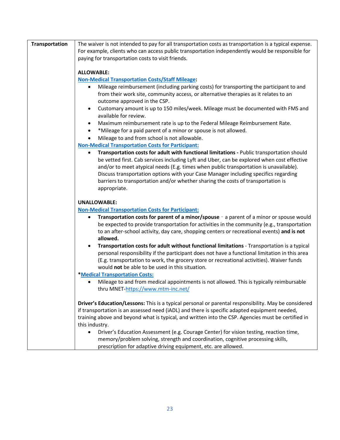<span id="page-22-1"></span><span id="page-22-0"></span>

| Transportation | The waiver is not intended to pay for all transportation costs as transportation is a typical expense.                                                                                                               |
|----------------|----------------------------------------------------------------------------------------------------------------------------------------------------------------------------------------------------------------------|
|                | For example, clients who can access public transportation independently would be responsible for                                                                                                                     |
|                | paying for transportation costs to visit friends.                                                                                                                                                                    |
|                |                                                                                                                                                                                                                      |
|                | <b>ALLOWABLE:</b>                                                                                                                                                                                                    |
|                | <b>Non-Medical Transportation Costs/Staff Mileage:</b>                                                                                                                                                               |
|                | Mileage reimbursement (including parking costs) for transporting the participant to and<br>٠<br>from their work site, community access, or alternative therapies as it relates to an<br>outcome approved in the CSP. |
|                | Customary amount is up to 150 miles/week. Mileage must be documented with FMS and<br>$\bullet$<br>available for review.                                                                                              |
|                | Maximum reimbursement rate is up to the Federal Mileage Reimbursement Rate.<br>٠                                                                                                                                     |
|                | *Mileage for a paid parent of a minor or spouse is not allowed.<br>$\bullet$                                                                                                                                         |
|                | Mileage to and from school is not allowable.<br>$\bullet$                                                                                                                                                            |
|                | <b>Non-Medical Transportation Costs for Participant:</b>                                                                                                                                                             |
|                | Transportation costs for adult with functional limitations - Public transportation should<br>$\bullet$                                                                                                               |
|                | be vetted first. Cab services including Lyft and Uber, can be explored when cost effective                                                                                                                           |
|                | and/or to meet atypical needs (E.g. times when public transportation is unavailable).                                                                                                                                |
|                | Discuss transportation options with your Case Manager including specifics regarding                                                                                                                                  |
|                | barriers to transportation and/or whether sharing the costs of transportation is                                                                                                                                     |
|                | appropriate.                                                                                                                                                                                                         |
|                |                                                                                                                                                                                                                      |
|                | <b>UNALLOWABLE:</b><br><b>Non-Medical Transportation Costs for Participant:</b>                                                                                                                                      |
|                | Transportation costs for parent of a minor/spouse - a parent of a minor or spouse would<br>٠                                                                                                                         |
|                | be expected to provide transportation for activities in the community (e.g., transportation                                                                                                                          |
|                | to an after-school activity, day care, shopping centers or recreational events) and is not                                                                                                                           |
|                | allowed.                                                                                                                                                                                                             |
|                | Transportation costs for adult without functional limitations - Transportation is a typical<br>$\bullet$                                                                                                             |
|                | personal responsibility if the participant does not have a functional limitation in this area                                                                                                                        |
|                | (E.g. transportation to work, the grocery store or recreational activities). Waiver funds                                                                                                                            |
|                | would not be able to be used in this situation.                                                                                                                                                                      |
|                | <b>*Medical Transportation Costs:</b>                                                                                                                                                                                |
|                | Mileage to and from medical appointments is not allowed. This is typically reimbursable                                                                                                                              |
|                | thru MNET-https://www.mtm-inc.net/                                                                                                                                                                                   |
|                |                                                                                                                                                                                                                      |
|                | Driver's Education/Lessons: This is a typical personal or parental responsibility. May be considered                                                                                                                 |
|                | if transportation is an assessed need (iADL) and there is specific adapted equipment needed,                                                                                                                         |
|                | training above and beyond what is typical, and written into the CSP. Agencies must be certified in                                                                                                                   |
|                | this industry.                                                                                                                                                                                                       |
|                | Driver's Education Assessment (e.g. Courage Center) for vision testing, reaction time,<br>$\bullet$                                                                                                                  |
|                | memory/problem solving, strength and coordination, cognitive processing skills,                                                                                                                                      |
|                | prescription for adaptive driving equipment, etc. are allowed.                                                                                                                                                       |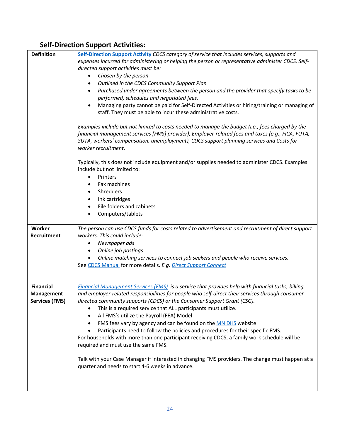### **Self-Direction Support Activities:**

<span id="page-23-2"></span><span id="page-23-1"></span><span id="page-23-0"></span>

| <b>Definition</b>     | Self-Direction Support Activity CDCS category of service that includes services, supports and      |
|-----------------------|----------------------------------------------------------------------------------------------------|
|                       | expenses incurred for administering or helping the person or representative administer CDCS. Self- |
|                       | directed support activities must be:                                                               |
|                       | Chosen by the person<br>$\bullet$                                                                  |
|                       | Outlined in the CDCS Community Support Plan<br>$\bullet$                                           |
|                       | Purchased under agreements between the person and the provider that specify tasks to be<br>٠       |
|                       | performed, schedules and negotiated fees.                                                          |
|                       | Managing party cannot be paid for Self-Directed Activities or hiring/training or managing of       |
|                       | staff. They must be able to incur these administrative costs.                                      |
|                       |                                                                                                    |
|                       | Examples include but not limited to costs needed to manage the budget (i.e., fees charged by the   |
|                       | financial management services [FMS] provider), Employer-related fees and taxes (e.g., FICA, FUTA,  |
|                       | SUTA, workers' compensation, unemployment), CDCS support planning services and Costs for           |
|                       | worker recruitment.                                                                                |
|                       |                                                                                                    |
|                       | Typically, this does not include equipment and/or supplies needed to administer CDCS. Examples     |
|                       | include but not limited to:                                                                        |
|                       | Printers<br>$\bullet$                                                                              |
|                       | Fax machines<br>٠                                                                                  |
|                       | Shredders<br>$\bullet$                                                                             |
|                       | Ink cartridges<br>٠                                                                                |
|                       | File folders and cabinets<br>$\bullet$                                                             |
|                       | Computers/tablets<br>$\bullet$                                                                     |
|                       |                                                                                                    |
| <b>Worker</b>         | The person can use CDCS funds for costs related to advertisement and recruitment of direct support |
| Recruitment           | workers. This could include:                                                                       |
|                       | $\bullet$                                                                                          |
|                       | Newspaper ads                                                                                      |
|                       | Online job postings<br>٠                                                                           |
|                       | Online matching services to connect job seekers and people who receive services.<br>$\bullet$      |
|                       | See CDCS Manual for more details. E.g. Direct Support Connect                                      |
|                       |                                                                                                    |
|                       |                                                                                                    |
| Financial             | Financial Management Services (FMS) is a service that provides help with financial tasks, billing, |
| Management            | and employer-related responsibilities for people who self-direct their services through consumer   |
| <b>Services (FMS)</b> | directed community supports (CDCS) or the Consumer Support Grant (CSG).                            |
|                       | This is a required service that ALL participants must utilize.<br>٠                                |
|                       | All FMS's utilize the Payroll (FEA) Model<br>٠                                                     |
|                       | FMS fees vary by agency and can be found on the MN DHS website<br>٠                                |
|                       | Participants need to follow the policies and procedures for their specific FMS.<br>$\bullet$       |
|                       | For households with more than one participant receiving CDCS, a family work schedule will be       |
|                       | required and must use the same FMS.                                                                |
|                       |                                                                                                    |
|                       | Talk with your Case Manager if interested in changing FMS providers. The change must happen at a   |
|                       | quarter and needs to start 4-6 weeks in advance.                                                   |
|                       |                                                                                                    |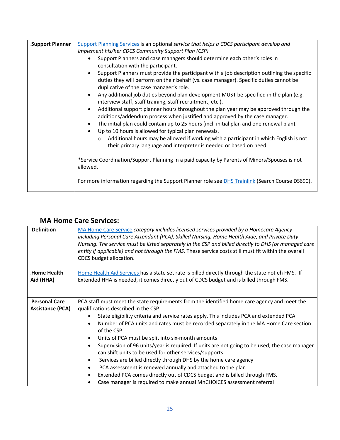<span id="page-24-0"></span>

| <b>Support Planner</b> | Support Planning Services is an optional service that helps a CDCS participant develop and                                                          |
|------------------------|-----------------------------------------------------------------------------------------------------------------------------------------------------|
|                        | implement his/her CDCS Community Support Plan (CSP).                                                                                                |
|                        | Support Planners and case managers should determine each other's roles in                                                                           |
|                        | consultation with the participant.                                                                                                                  |
|                        | Support Planners must provide the participant with a job description outlining the specific                                                         |
|                        | duties they will perform on their behalf (vs. case manager). Specific duties cannot be                                                              |
|                        | duplicative of the case manager's role.                                                                                                             |
|                        | Any additional job duties beyond plan development MUST be specified in the plan (e.g.<br>interview staff, staff training, staff recruitment, etc.). |
|                        | Additional support planner hours throughout the plan year may be approved through the<br>$\bullet$                                                  |
|                        | additions/addendum process when justified and approved by the case manager.                                                                         |
|                        | The initial plan could contain up to 25 hours (incl. initial plan and one renewal plan).                                                            |
|                        | Up to 10 hours is allowed for typical plan renewals.<br>$\bullet$                                                                                   |
|                        | Additional hours may be allowed if working with a participant in which English is not<br>$\circ$                                                    |
|                        | their primary language and interpreter is needed or based on need.                                                                                  |
|                        | *Service Coordination/Support Planning in a paid capacity by Parents of Minors/Spouses is not                                                       |
|                        | allowed.                                                                                                                                            |
|                        | For more information regarding the Support Planner role see DHS Trainlink (Search Course DS690).                                                    |

#### <span id="page-24-1"></span>**MA Home Care Services:**

<span id="page-24-4"></span><span id="page-24-3"></span><span id="page-24-2"></span>

| <b>Definition</b>       | MA Home Care Service category includes licensed services provided by a Homecare Agency<br>including Personal Care Attendant (PCA), Skilled Nursing, Home Health Aide, and Private Duty<br>Nursing. The service must be listed separately in the CSP and billed directly to DHS (or managed care<br>entity if applicable) and not through the FMS. These service costs still must fit within the overall<br>CDCS budget allocation. |
|-------------------------|------------------------------------------------------------------------------------------------------------------------------------------------------------------------------------------------------------------------------------------------------------------------------------------------------------------------------------------------------------------------------------------------------------------------------------|
| <b>Home Health</b>      | Home Health Aid Services has a state set rate is billed directly through the state not eh FMS. If                                                                                                                                                                                                                                                                                                                                  |
| Aid (HHA)               | Extended HHA is needed, it comes directly out of CDCS budget and is billed through FMS.                                                                                                                                                                                                                                                                                                                                            |
|                         |                                                                                                                                                                                                                                                                                                                                                                                                                                    |
| <b>Personal Care</b>    | PCA staff must meet the state requirements from the identified home care agency and meet the                                                                                                                                                                                                                                                                                                                                       |
| <b>Assistance (PCA)</b> | qualifications described in the CSP.                                                                                                                                                                                                                                                                                                                                                                                               |
|                         | State eligibility criteria and service rates apply. This includes PCA and extended PCA.                                                                                                                                                                                                                                                                                                                                            |
|                         | Number of PCA units and rates must be recorded separately in the MA Home Care section<br>of the CSP.                                                                                                                                                                                                                                                                                                                               |
|                         | Units of PCA must be split into six-month amounts<br>٠                                                                                                                                                                                                                                                                                                                                                                             |
|                         | Supervision of 96 units/year is required. If units are not going to be used, the case manager                                                                                                                                                                                                                                                                                                                                      |
|                         | can shift units to be used for other services/supports.                                                                                                                                                                                                                                                                                                                                                                            |
|                         | Services are billed directly through DHS by the home care agency<br>٠                                                                                                                                                                                                                                                                                                                                                              |
|                         | PCA assessment is renewed annually and attached to the plan                                                                                                                                                                                                                                                                                                                                                                        |
|                         | Extended PCA comes directly out of CDCS budget and is billed through FMS.<br>$\bullet$                                                                                                                                                                                                                                                                                                                                             |
|                         | Case manager is required to make annual MnCHOICES assessment referral                                                                                                                                                                                                                                                                                                                                                              |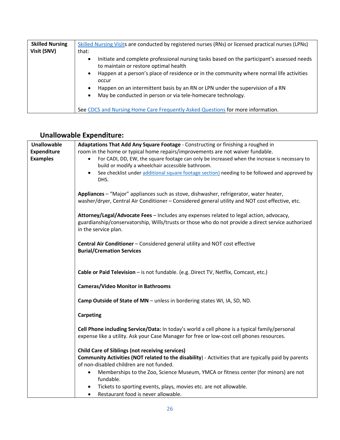<span id="page-25-0"></span>

| <b>Skilled Nursing</b> | Skilled Nursing Visits are conducted by registered nurses (RNs) or licensed practical nurses (LPNs)                                      |
|------------------------|------------------------------------------------------------------------------------------------------------------------------------------|
| Visit (SNV)            | that:                                                                                                                                    |
|                        | Initiate and complete professional nursing tasks based on the participant's assessed needs<br>٠<br>to maintain or restore optimal health |
|                        | Happen at a person's place of residence or in the community where normal life activities<br>$\bullet$<br>occur                           |
|                        | Happen on an intermittent basis by an RN or LPN under the supervision of a RN<br>$\bullet$                                               |
|                        | May be conducted in person or via tele-homecare technology.<br>$\bullet$                                                                 |
|                        | See CDCS and Nursing Home Care Frequently Asked Questions for more information.                                                          |

## <span id="page-25-1"></span>**Unallowable Expenditure:**

<span id="page-25-2"></span>

| <b>Unallowable</b>                    | Adaptations That Add Any Square Footage - Constructing or finishing a roughed in                                                                                                                                                    |
|---------------------------------------|-------------------------------------------------------------------------------------------------------------------------------------------------------------------------------------------------------------------------------------|
| <b>Expenditure</b><br><b>Examples</b> | room in the home or typical home repairs/improvements are not waiver fundable.<br>For CADI, DD, EW, the square footage can only be increased when the increase is necessary to<br>build or modify a wheelchair accessible bathroom. |
|                                       | See checklist under additional square footage section) needing to be followed and approved by<br>DHS.                                                                                                                               |
|                                       | Appliances - "Major" appliances such as stove, dishwasher, refrigerator, water heater,<br>washer/dryer, Central Air Conditioner - Considered general utility and NOT cost effective, etc.                                           |
|                                       | Attorney/Legal/Advocate Fees - Includes any expenses related to legal action, advocacy,<br>guardianship/conservatorship, Wills/trusts or those who do not provide a direct service authorized<br>in the service plan.               |
|                                       | Central Air Conditioner - Considered general utility and NOT cost effective<br><b>Burial/Cremation Services</b>                                                                                                                     |
|                                       | Cable or Paid Television - is not fundable. (e.g. Direct TV, Netflix, Comcast, etc.)                                                                                                                                                |
|                                       | <b>Cameras/Video Monitor in Bathrooms</b>                                                                                                                                                                                           |
|                                       | Camp Outside of State of MN - unless in bordering states WI, IA, SD, ND.                                                                                                                                                            |
|                                       | <b>Carpeting</b>                                                                                                                                                                                                                    |
|                                       | Cell Phone including Service/Data: In today's world a cell phone is a typical family/personal<br>expense like a utility. Ask your Case Manager for free or low-cost cell phones resources.                                          |
|                                       | <b>Child Care of Siblings (not receiving services)</b>                                                                                                                                                                              |
|                                       | Community Activities (NOT related to the disability) - Activities that are typically paid by parents<br>of non-disabled children are not funded.                                                                                    |
|                                       | Memberships to the Zoo, Science Museum, YMCA or fitness center (for minors) are not<br>$\bullet$<br>fundable.                                                                                                                       |
|                                       | Tickets to sporting events, plays, movies etc. are not allowable.<br>Restaurant food is never allowable.<br>$\bullet$                                                                                                               |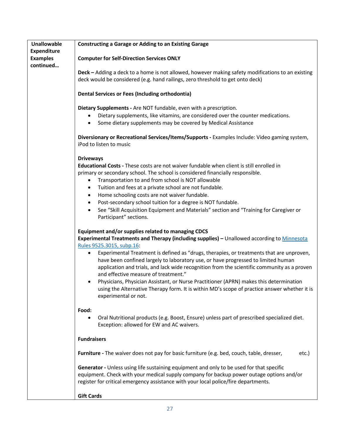| <b>Unallowable</b> | <b>Constructing a Garage or Adding to an Existing Garage</b>                                        |
|--------------------|-----------------------------------------------------------------------------------------------------|
| <b>Expenditure</b> |                                                                                                     |
| <b>Examples</b>    | <b>Computer for Self-Direction Services ONLY</b>                                                    |
| continued          | Deck - Adding a deck to a home is not allowed, however making safety modifications to an existing   |
|                    | deck would be considered (e.g. hand railings, zero threshold to get onto deck)                      |
|                    | <b>Dental Services or Fees (Including orthodontia)</b>                                              |
|                    | Dietary Supplements - Are NOT fundable, even with a prescription.                                   |
|                    | Dietary supplements, like vitamins, are considered over the counter medications.                    |
|                    | Some dietary supplements may be covered by Medical Assistance<br>$\bullet$                          |
|                    | Diversionary or Recreational Services/Items/Supports - Examples Include: Video gaming system,       |
|                    | iPod to listen to music                                                                             |
|                    | <b>Driveways</b>                                                                                    |
|                    | Educational Costs - These costs are not waiver fundable when client is still enrolled in            |
|                    | primary or secondary school. The school is considered financially responsible.                      |
|                    | Transportation to and from school is NOT allowable<br>$\bullet$                                     |
|                    | Tuition and fees at a private school are not fundable.<br>$\bullet$                                 |
|                    | Home schooling costs are not waiver fundable.<br>$\bullet$                                          |
|                    | Post-secondary school tuition for a degree is NOT fundable.<br>$\bullet$                            |
|                    | See "Skill Acquisition Equipment and Materials" section and "Training for Caregiver or<br>$\bullet$ |
|                    | Participant" sections.                                                                              |
|                    | Equipment and/or supplies related to managing CDCS                                                  |
|                    | Experimental Treatments and Therapy (including supplies) - Unallowed according to Minnesota         |
|                    | Rules 9525.3015, subp.16:                                                                           |
|                    | Experimental Treatment is defined as "drugs, therapies, or treatments that are unproven,<br>٠       |
|                    | have been confined largely to laboratory use, or have progressed to limited human                   |
|                    | application and trials, and lack wide recognition from the scientific community as a proven         |
|                    | and effective measure of treatment."                                                                |
|                    | Physicians, Physician Assistant, or Nurse Practitioner (APRN) makes this determination<br>$\bullet$ |
|                    | using the Alternative Therapy form. It is within MD's scope of practice answer whether it is        |
|                    | experimental or not.                                                                                |
|                    | Food:                                                                                               |
|                    | Oral Nutritional products (e.g. Boost, Ensure) unless part of prescribed specialized diet.          |
|                    | Exception: allowed for EW and AC waivers.                                                           |
|                    | <b>Fundraisers</b>                                                                                  |
|                    | Furniture - The waiver does not pay for basic furniture (e.g. bed, couch, table, dresser,<br>etc.)  |
|                    | Generator - Unless using life sustaining equipment and only to be used for that specific            |
|                    | equipment. Check with your medical supply company for backup power outage options and/or            |
|                    | register for critical emergency assistance with your local police/fire departments.                 |
|                    | <b>Gift Cards</b>                                                                                   |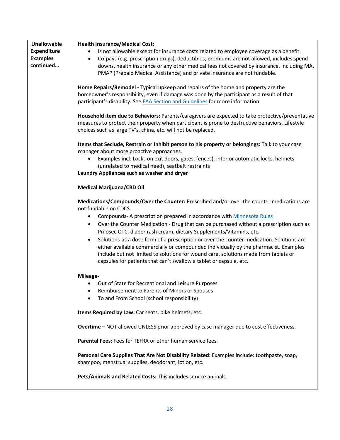| <b>Unallowable</b> | <b>Health Insurance/Medical Cost:</b>                                                                  |
|--------------------|--------------------------------------------------------------------------------------------------------|
| Expenditure        | Is not allowable except for insurance costs related to employee coverage as a benefit.                 |
| <b>Examples</b>    | Co-pays (e.g. prescription drugs), deductibles, premiums are not allowed, includes spend-<br>$\bullet$ |
| continued          | downs, health insurance or any other medical fees not covered by insurance. Including MA,              |
|                    | PMAP (Prepaid Medical Assistance) and private insurance are not fundable.                              |
|                    |                                                                                                        |
|                    | Home Repairs/Remodel - Typical upkeep and repairs of the home and property are the                     |
|                    | homeowner's responsibility, even if damage was done by the participant as a result of that             |
|                    | participant's disability. See EAA Section and Guidelines for more information.                         |
|                    |                                                                                                        |
|                    | Household item due to Behaviors: Parents/caregivers are expected to take protective/preventative       |
|                    | measures to protect their property when participant is prone to destructive behaviors. Lifestyle       |
|                    | choices such as large TV's, china, etc. will not be replaced.                                          |
|                    | Items that Seclude, Restrain or Inhibit person to his property or belongings: Talk to your case        |
|                    | manager about more proactive approaches.                                                               |
|                    | Examples incl: Locks on exit doors, gates, fences), interior automatic locks, helmets<br>$\bullet$     |
|                    | (unrelated to medical need), seatbelt restraints                                                       |
|                    | Laundry Appliances such as washer and dryer                                                            |
|                    |                                                                                                        |
|                    | <b>Medical Marijuana/CBD Oil</b>                                                                       |
|                    | Medications/Compounds/Over the Counter: Prescribed and/or over the counter medications are             |
|                    | not fundable on CDCS.                                                                                  |
|                    | Compounds- A prescription prepared in accordance with Minnesota Rules                                  |
|                    |                                                                                                        |
|                    | Over the Counter Medication - Drug that can be purchased without a prescription such as<br>$\bullet$   |
|                    | Prilosec OTC, diaper rash cream, dietary Supplements/Vitamins, etc.                                    |
|                    | Solutions-as a dose form of a prescription or over the counter medication. Solutions are<br>$\bullet$  |
|                    | either available commercially or compounded individually by the pharmacist. Examples                   |
|                    | include but not limited to solutions for wound care, solutions made from tablets or                    |
|                    | capsules for patients that can't swallow a tablet or capsule, etc.                                     |
|                    | Mileage-                                                                                               |
|                    | Out of State for Recreational and Leisure Purposes                                                     |
|                    |                                                                                                        |
|                    | Reimbursement to Parents of Minors or Spouses                                                          |
|                    | To and From School (school responsibility)                                                             |
|                    | Items Required by Law: Car seats, bike helmets, etc.                                                   |
|                    |                                                                                                        |
|                    | Overtime - NOT allowed UNLESS prior approved by case manager due to cost effectiveness.                |
|                    | Parental Fees: Fees for TEFRA or other human service fees.                                             |
|                    | Personal Care Supplies That Are Not Disability Related: Examples include: toothpaste, soap,            |
|                    | shampoo, menstrual supplies, deodorant, lotion, etc.                                                   |
|                    |                                                                                                        |
|                    | Pets/Animals and Related Costs: This includes service animals.                                         |
|                    |                                                                                                        |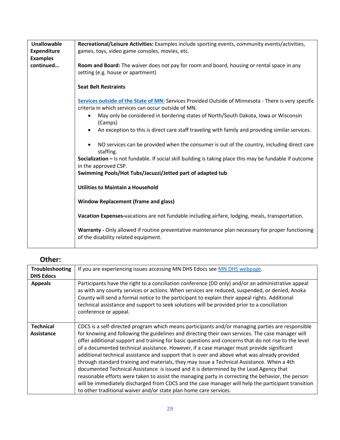| <b>Unallowable</b><br><b>Expenditure</b> | Recreational/Leisure Activities: Examples include sporting events, community events/activities,                                                             |
|------------------------------------------|-------------------------------------------------------------------------------------------------------------------------------------------------------------|
| <b>Examples</b>                          | games, toys, video game consoles, movies, etc.                                                                                                              |
| continued                                | Room and Board: The waiver does not pay for room and board, housing or rental space in any<br>setting (e.g. house or apartment)                             |
|                                          | <b>Seat Belt Restraints</b>                                                                                                                                 |
|                                          | Services outside of the State of MN: Services Provided Outside of Minnesota - There is very specific<br>criteria in which services can occur outside of MN. |
|                                          | May only be considered in bordering states of North/South Dakota, Iowa or Wisconsin<br>$\bullet$<br>(Camps)                                                 |
|                                          | An exception to this is direct care staff traveling with family and providing similar services.                                                             |
|                                          | NO services can be provided when the consumer is out of the country, including direct care<br>staffing.                                                     |
|                                          | Socialization - Is not fundable. If social skill building is taking place this may be fundable if outcome<br>in the approved CSP.                           |
|                                          | Swimming Pools/Hot Tubs/Jacuzzi/Jetted part of adapted tub                                                                                                  |
|                                          | <b>Utilities to Maintain a Household</b>                                                                                                                    |
|                                          | <b>Window Replacement (frame and glass)</b>                                                                                                                 |
|                                          | Vacation Expenses-vacations are not fundable including airfare, lodging, meals, transportation.                                                             |
|                                          | Warranty - Only allowed if routine preventative maintenance plan necessary for proper functioning<br>of the disability related equipment.                   |

## <span id="page-28-0"></span>**Other:**

<span id="page-28-3"></span><span id="page-28-2"></span><span id="page-28-1"></span>

| <b>Troubleshooting</b><br><b>DHS Edocs</b> | If you are experiencing issues accessing MN DHS Edocs see MN DHS webpage.                                                                                                                                                                                                                                                                                                                                                                                                                                                                                                                                                                                                                                                                                                                                                                                                     |
|--------------------------------------------|-------------------------------------------------------------------------------------------------------------------------------------------------------------------------------------------------------------------------------------------------------------------------------------------------------------------------------------------------------------------------------------------------------------------------------------------------------------------------------------------------------------------------------------------------------------------------------------------------------------------------------------------------------------------------------------------------------------------------------------------------------------------------------------------------------------------------------------------------------------------------------|
| <b>Appeals</b>                             | Participants have the right to a conciliation conference (DD only) and/or an administrative appeal<br>as with any county services or actions. When services are reduced, suspended, or denied, Anoka<br>County will send a formal notice to the participant to explain their appeal rights. Additional<br>technical assistance and support to seek solutions will be provided prior to a conciliation<br>conference or appeal.                                                                                                                                                                                                                                                                                                                                                                                                                                                |
| <b>Technical</b>                           | CDCS is a self-directed program which means participants and/or managing parties are responsible                                                                                                                                                                                                                                                                                                                                                                                                                                                                                                                                                                                                                                                                                                                                                                              |
| <b>Assistance</b>                          | for knowing and following the guidelines and directing their own services. The case manager will<br>offer additional support and training for basic questions and concerns that do not rise to the level<br>of a documented technical assistance. However, if a case manager must provide significant<br>additional technical assistance and support that is over and above what was already provided<br>through standard training and materials, they may issue a Technical Assistance. When a 4th<br>documented Technical Assistance is issued and it is determined by the Lead Agency that<br>reasonable efforts were taken to assist the managing party in correcting the behavior, the person<br>will be immediately discharged from CDCS and the case manager will help the participant transition<br>to other traditional waiver and/or state plan home care services. |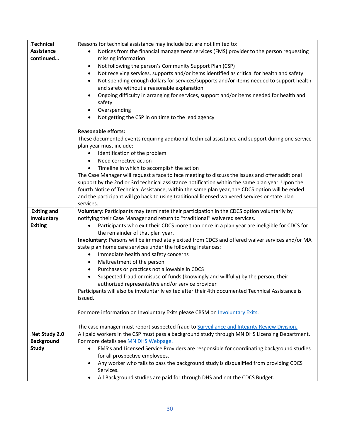<span id="page-29-1"></span><span id="page-29-0"></span>

| <b>Technical</b>                  | Reasons for technical assistance may include but are not limited to:                                                             |
|-----------------------------------|----------------------------------------------------------------------------------------------------------------------------------|
| Assistance                        | Notices from the financial management services (FMS) provider to the person requesting<br>$\bullet$                              |
| continued                         | missing information                                                                                                              |
|                                   | Not following the person's Community Support Plan (CSP)<br>٠                                                                     |
|                                   | Not receiving services, supports and/or items identified as critical for health and safety<br>٠                                  |
|                                   | Not spending enough dollars for services/supports and/or items needed to support health<br>٠                                     |
|                                   | and safety without a reasonable explanation                                                                                      |
|                                   | Ongoing difficulty in arranging for services, support and/or items needed for health and<br>٠                                    |
|                                   | safety                                                                                                                           |
|                                   | Overspending<br>$\bullet$                                                                                                        |
|                                   | Not getting the CSP in on time to the lead agency<br>$\bullet$                                                                   |
|                                   |                                                                                                                                  |
|                                   | <b>Reasonable efforts:</b>                                                                                                       |
|                                   | These documented events requiring additional technical assistance and support during one service                                 |
|                                   | plan year must include:                                                                                                          |
|                                   | Identification of the problem<br>$\bullet$                                                                                       |
|                                   | Need corrective action<br>$\bullet$                                                                                              |
|                                   | Timeline in which to accomplish the action                                                                                       |
|                                   | The Case Manager will request a face to face meeting to discuss the issues and offer additional                                  |
|                                   | support by the 2nd or 3rd technical assistance notification within the same plan year. Upon the                                  |
|                                   | fourth Notice of Technical Assistance, within the same plan year, the CDCS option will be ended                                  |
|                                   | and the participant will go back to using traditional licensed waivered services or state plan                                   |
|                                   | services.                                                                                                                        |
| <b>Exiting and</b>                | Voluntary: Participants may terminate their participation in the CDCS option voluntarily by                                      |
| Involuntary                       | notifying their Case Manager and return to "traditional" waivered services.                                                      |
| <b>Exiting</b>                    | Participants who exit their CDCS more than once in a plan year are ineligible for CDCS for                                       |
|                                   | the remainder of that plan year.                                                                                                 |
|                                   | Involuntary: Persons will be immediately exited from CDCS and offered waiver services and/or MA                                  |
|                                   | state plan home care services under the following instances:                                                                     |
|                                   | Immediate health and safety concerns<br>$\bullet$                                                                                |
|                                   | Maltreatment of the person<br>٠                                                                                                  |
|                                   | Purchases or practices not allowable in CDCS<br>٠                                                                                |
|                                   | Suspected fraud or misuse of funds (knowingly and willfully) by the person, their<br>$\bullet$                                   |
|                                   | authorized representative and/or service provider                                                                                |
|                                   | Participants will also be involuntarily exited after their 4th documented Technical Assistance is                                |
|                                   | issued.                                                                                                                          |
|                                   |                                                                                                                                  |
|                                   | For more information on Involuntary Exits please CBSM on Involuntary Exits.                                                      |
|                                   |                                                                                                                                  |
|                                   | The case manager must report suspected fraud to Surveillance and Integrity Review Division.                                      |
| Net Study 2.0                     | All paid workers in the CSP must pass a background study through MN DHS Licensing Department.                                    |
| <b>Background</b><br><b>Study</b> | For more details see MN DHS Webpage.<br>FMS's and Licensed Service Providers are responsible for coordinating background studies |
|                                   | $\bullet$<br>for all prospective employees.                                                                                      |
|                                   |                                                                                                                                  |
|                                   |                                                                                                                                  |
|                                   | Any worker who fails to pass the background study is disqualified from providing CDCS                                            |
|                                   | Services.<br>All Background studies are paid for through DHS and not the CDCS Budget.<br>$\bullet$                               |